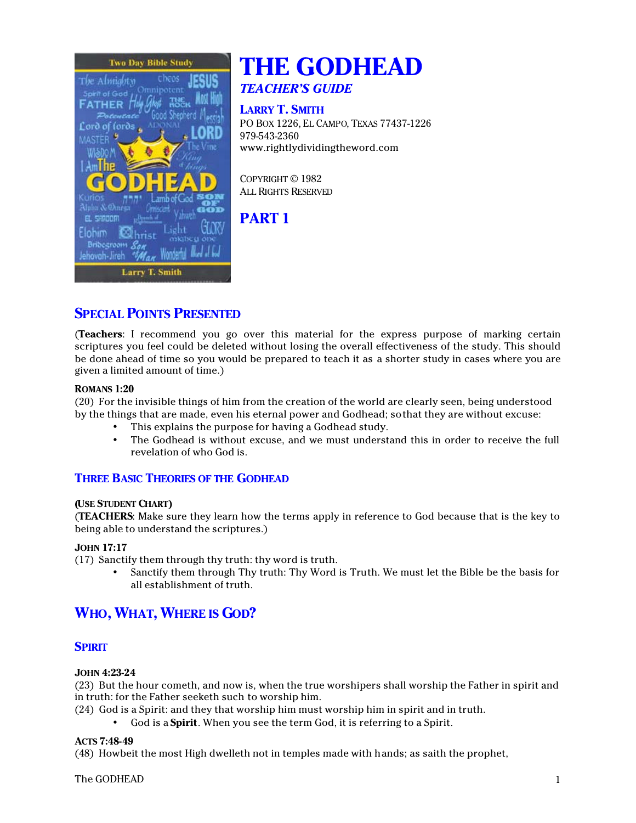

# **THE GODHEAD** *TEACHER'S GUIDE*

# **LARRY T. SMITH**

PO BOX 1226, EL CAMPO, TEXAS 77437-1226 979-543-2360 www.rightlydividingtheword.com

COPYRIGHT © 1982 ALL RIGHTS RESERVED

# **PART 1**

# **SPECIAL POINTS PRESENTED**

(**Teachers**: I recommend you go over this material for the express purpose of marking certain scriptures you feel could be deleted without losing the overall effectiveness of the study. This should be done ahead of time so you would be prepared to teach it as a shorter study in cases where you are given a limited amount of time.)

# **ROMANS 1:20**

(20) For the invisible things of him from the creation of the world are clearly seen, being understood by the things that are made, even his eternal power and Godhead; so that they are without excuse:

- This explains the purpose for having a Godhead study.
- The Godhead is without excuse, and we must understand this in order to receive the full revelation of who God is.

# **THREE BASIC THEORIES OF THE GODHEAD**

# **(USE STUDENT CHART)**

(**TEACHERS**: Make sure they learn how the terms apply in reference to God because that is the key to being able to understand the scriptures.)

# **JOHN 17:17**

(17) Sanctify them through thy truth: thy word is truth.

• Sanctify them through Thy truth: Thy Word is Truth. We must let the Bible be the basis for all establishment of truth.

# **WHO, WHAT, WHERE IS GOD?**

# **SPIRIT**

# **JOHN 4:23-24**

(23) But the hour cometh, and now is, when the true worshipers shall worship the Father in spirit and in truth: for the Father seeketh such to worship him.

(24) God is a Spirit: and they that worship him must worship him in spirit and in truth.

• God is a **Spirit**. When you see the term God, it is referring to a Spirit.

#### **ACTS 7:48-49**

(48) Howbeit the most High dwelleth not in temples made with hands; as saith the prophet,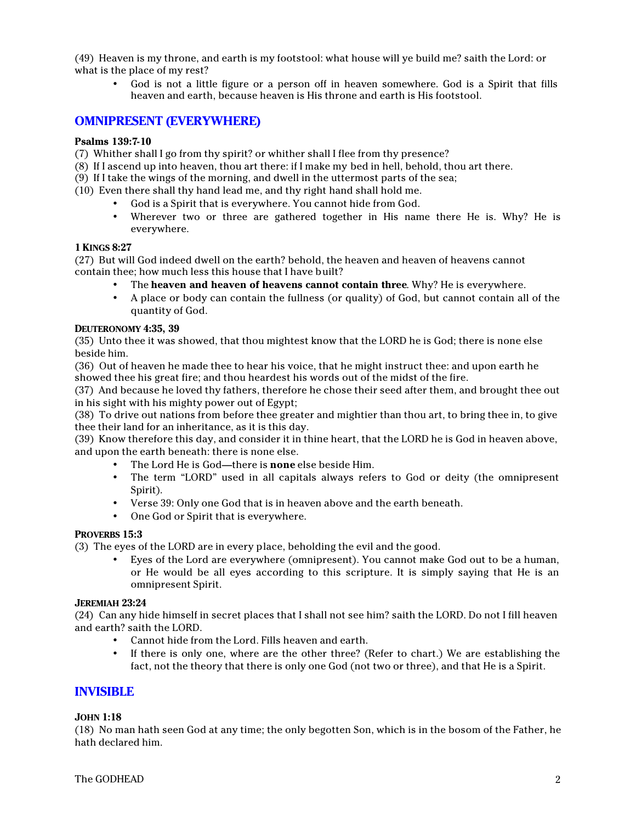(49) Heaven is my throne, and earth is my footstool: what house will ye build me? saith the Lord: or what is the place of my rest?

• God is not a little figure or a person off in heaven somewhere. God is a Spirit that fills heaven and earth, because heaven is His throne and earth is His footstool.

# **OMNIPRESENT (EVERYWHERE)**

#### **Psalms 139:7-10**

- (7) Whither shall I go from thy spirit? or whither shall I flee from thy presence?
- (8) If I ascend up into heaven, thou art there: if I make my bed in hell, behold, thou art there.
- (9) If I take the wings of the morning, and dwell in the uttermost parts of the sea;
- (10) Even there shall thy hand lead me, and thy right hand shall hold me.
	- God is a Spirit that is everywhere. You cannot hide from God.
	- Wherever two or three are gathered together in His name there He is. Why? He is everywhere.

#### **1 KINGS 8:27**

(27) But will God indeed dwell on the earth? behold, the heaven and heaven of heavens cannot contain thee; how much less this house that I have built?

- The **heaven and heaven of heavens cannot contain three**. Why? He is everywhere.
- A place or body can contain the fullness (or quality) of God, but cannot contain all of the quantity of God.

#### **DEUTERONOMY 4:35, 39**

(35) Unto thee it was showed, that thou mightest know that the LORD he is God; there is none else beside him.

(36) Out of heaven he made thee to hear his voice, that he might instruct thee: and upon earth he showed thee his great fire; and thou heardest his words out of the midst of the fire.

(37) And because he loved thy fathers, therefore he chose their seed after them, and brought thee out in his sight with his mighty power out of Egypt;

(38) To drive out nations from before thee greater and mightier than thou art, to bring thee in, to give thee their land for an inheritance, as it is this day.

(39) Know therefore this day, and consider it in thine heart, that the LORD he is God in heaven above, and upon the earth beneath: there is none else.

- The Lord He is God—there is **none** else beside Him.
- The term "LORD" used in all capitals always refers to God or deity (the omnipresent Spirit).
- Verse 39: Only one God that is in heaven above and the earth beneath.
- One God or Spirit that is everywhere.

#### **PROVERBS 15:3**

(3) The eyes of the LORD are in every place, beholding the evil and the good.

• Eyes of the Lord are everywhere (omnipresent). You cannot make God out to be a human, or He would be all eyes according to this scripture. It is simply saying that He is an omnipresent Spirit.

#### **JEREMIAH 23:24**

(24) Can any hide himself in secret places that I shall not see him? saith the LORD. Do not I fill heaven and earth? saith the LORD.

- Cannot hide from the Lord. Fills heaven and earth.
- If there is only one, where are the other three? (Refer to chart.) We are establishing the fact, not the theory that there is only one God (not two or three), and that He is a Spirit.

# **INVISIBLE**

#### **JOHN 1:18**

(18) No man hath seen God at any time; the only begotten Son, which is in the bosom of the Father, he hath declared him.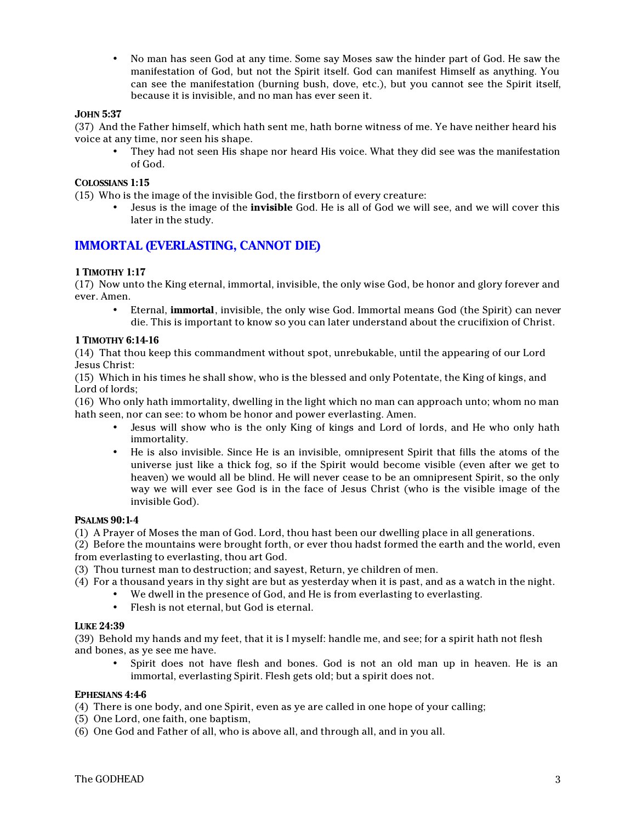• No man has seen God at any time. Some say Moses saw the hinder part of God. He saw the manifestation of God, but not the Spirit itself. God can manifest Himself as anything. You can see the manifestation (burning bush, dove, etc.), but you cannot see the Spirit itself, because it is invisible, and no man has ever seen it.

#### **JOHN 5:37**

(37) And the Father himself, which hath sent me, hath borne witness of me. Ye have neither heard his voice at any time, nor seen his shape.

• They had not seen His shape nor heard His voice. What they did see was the manifestation of God.

#### **COLOSSIANS 1:15**

(15) Who is the image of the invisible God, the firstborn of every creature:

• Jesus is the image of the **invisible** God. He is all of God we will see, and we will cover this later in the study.

# **IMMORTAL (EVERLASTING, CANNOT DIE)**

#### **1 TIMOTHY 1:17**

(17) Now unto the King eternal, immortal, invisible, the only wise God, be honor and glory forever and ever. Amen.

• Eternal, **immortal**, invisible, the only wise God. Immortal means God (the Spirit) can never die. This is important to know so you can later understand about the crucifixion of Christ.

#### **1 TIMOTHY 6:14-16**

(14) That thou keep this commandment without spot, unrebukable, until the appearing of our Lord Jesus Christ:

(15) Which in his times he shall show, who is the blessed and only Potentate, the King of kings, and Lord of lords;

(16) Who only hath immortality, dwelling in the light which no man can approach unto; whom no man hath seen, nor can see: to whom be honor and power everlasting. Amen.

- Jesus will show who is the only King of kings and Lord of lords, and He who only hath immortality.
- He is also invisible. Since He is an invisible, omnipresent Spirit that fills the atoms of the universe just like a thick fog, so if the Spirit would become visible (even after we get to heaven) we would all be blind. He will never cease to be an omnipresent Spirit, so the only way we will ever see God is in the face of Jesus Christ (who is the visible image of the invisible God).

#### **PSALMS 90:1-4**

(1) A Prayer of Moses the man of God. Lord, thou hast been our dwelling place in all generations.

(2) Before the mountains were brought forth, or ever thou hadst formed the earth and the world, even from everlasting to everlasting, thou art God.

(3) Thou turnest man to destruction; and sayest, Return, ye children of men.

- (4) For a thousand years in thy sight are but as yesterday when it is past, and as a watch in the night.
	- We dwell in the presence of God, and He is from everlasting to everlasting.
		- Flesh is not eternal, but God is eternal.

#### **LUKE 24:39**

(39) Behold my hands and my feet, that it is I myself: handle me, and see; for a spirit hath not flesh and bones, as ye see me have.

• Spirit does not have flesh and bones. God is not an old man up in heaven. He is an immortal, everlasting Spirit. Flesh gets old; but a spirit does not.

#### **EPHESIANS 4:4-6**

(4) There is one body, and one Spirit, even as ye are called in one hope of your calling;

- (5) One Lord, one faith, one baptism,
- (6) One God and Father of all, who is above all, and through all, and in you all.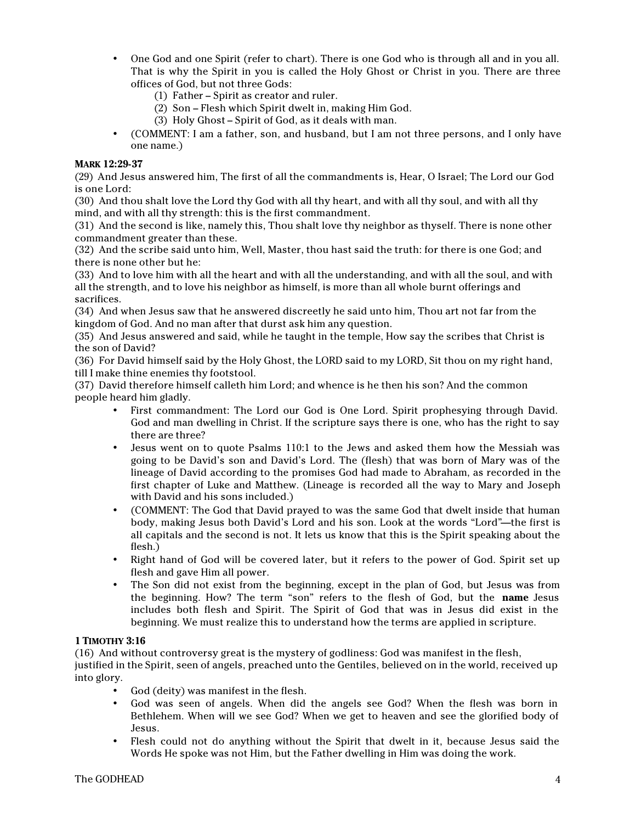- One God and one Spirit (refer to chart). There is one God who is through all and in you all. That is why the Spirit in you is called the Holy Ghost or Christ in you. There are three offices of God, but not three Gods:
	- (1) Father Spirit as creator and ruler.
	- (2) Son Flesh which Spirit dwelt in, making Him God.
	- (3) Holy Ghost Spirit of God, as it deals with man.
- (COMMENT: I am a father, son, and husband, but I am not three persons, and I only have one name.)

#### **MARK 12:29-37**

(29) And Jesus answered him, The first of all the commandments is, Hear, O Israel; The Lord our God is one Lord:

(30) And thou shalt love the Lord thy God with all thy heart, and with all thy soul, and with all thy mind, and with all thy strength: this is the first commandment.

(31) And the second is like, namely this, Thou shalt love thy neighbor as thyself. There is none other commandment greater than these.

(32) And the scribe said unto him, Well, Master, thou hast said the truth: for there is one God; and there is none other but he:

(33) And to love him with all the heart and with all the understanding, and with all the soul, and with all the strength, and to love his neighbor as himself, is more than all whole burnt offerings and sacrifices.

(34) And when Jesus saw that he answered discreetly he said unto him, Thou art not far from the kingdom of God. And no man after that durst ask him any question.

(35) And Jesus answered and said, while he taught in the temple, How say the scribes that Christ is the son of David?

(36) For David himself said by the Holy Ghost, the LORD said to my LORD, Sit thou on my right hand, till I make thine enemies thy footstool.

(37) David therefore himself calleth him Lord; and whence is he then his son? And the common people heard him gladly.

- First commandment: The Lord our God is One Lord. Spirit prophesying through David. God and man dwelling in Christ. If the scripture says there is one, who has the right to say there are three?
- Jesus went on to quote Psalms 110:1 to the Jews and asked them how the Messiah was going to be David's son and David's Lord. The (flesh) that was born of Mary was of the lineage of David according to the promises God had made to Abraham, as recorded in the first chapter of Luke and Matthew. (Lineage is recorded all the way to Mary and Joseph with David and his sons included.)
- (COMMENT: The God that David prayed to was the same God that dwelt inside that human body, making Jesus both David's Lord and his son. Look at the words "Lord"—the first is all capitals and the second is not. It lets us know that this is the Spirit speaking about the flesh.)
- Right hand of God will be covered later, but it refers to the power of God. Spirit set up flesh and gave Him all power.
- The Son did not exist from the beginning, except in the plan of God, but Jesus was from the beginning. How? The term "son" refers to the flesh of God, but the **name** Jesus includes both flesh and Spirit. The Spirit of God that was in Jesus did exist in the beginning. We must realize this to understand how the terms are applied in scripture.

#### **1 TIMOTHY 3:16**

(16) And without controversy great is the mystery of godliness: God was manifest in the flesh,

justified in the Spirit, seen of angels, preached unto the Gentiles, believed on in the world, received up into glory.

- God (deity) was manifest in the flesh.
- God was seen of angels. When did the angels see God? When the flesh was born in Bethlehem. When will we see God? When we get to heaven and see the glorified body of Jesus.
- Flesh could not do anything without the Spirit that dwelt in it, because Jesus said the Words He spoke was not Him, but the Father dwelling in Him was doing the work.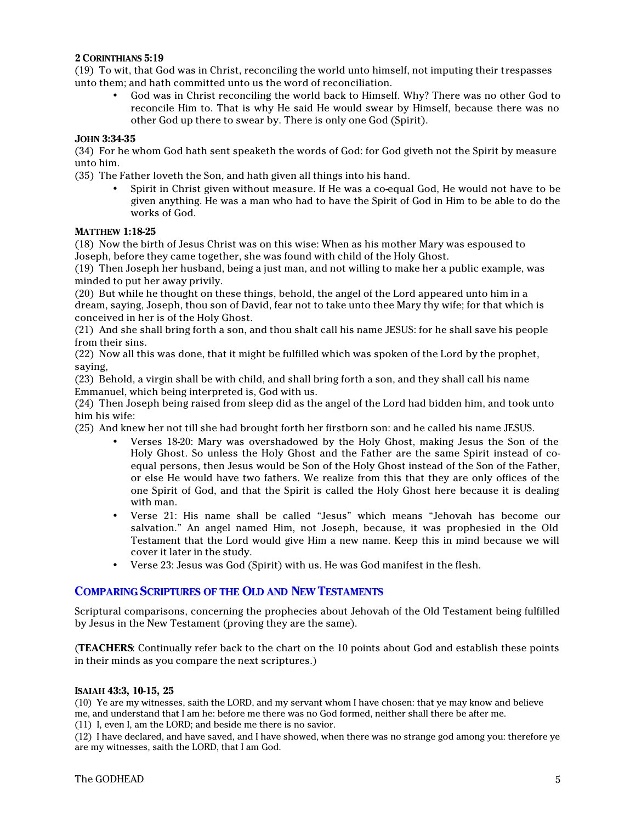#### **2 CORINTHIANS 5:19**

(19) To wit, that God was in Christ, reconciling the world unto himself, not imputing their trespasses unto them; and hath committed unto us the word of reconciliation.

• God was in Christ reconciling the world back to Himself. Why? There was no other God to reconcile Him to. That is why He said He would swear by Himself, because there was no other God up there to swear by. There is only one God (Spirit).

#### **JOHN 3:34-35**

(34) For he whom God hath sent speaketh the words of God: for God giveth not the Spirit by measure unto him.

(35) The Father loveth the Son, and hath given all things into his hand.

• Spirit in Christ given without measure. If He was a co-equal God, He would not have to be given anything. He was a man who had to have the Spirit of God in Him to be able to do the works of God.

#### **MATTHEW 1:18-25**

(18) Now the birth of Jesus Christ was on this wise: When as his mother Mary was espoused to Joseph, before they came together, she was found with child of the Holy Ghost.

(19) Then Joseph her husband, being a just man, and not willing to make her a public example, was minded to put her away privily.

(20) But while he thought on these things, behold, the angel of the Lord appeared unto him in a dream, saying, Joseph, thou son of David, fear not to take unto thee Mary thy wife; for that which is conceived in her is of the Holy Ghost.

(21) And she shall bring forth a son, and thou shalt call his name JESUS: for he shall save his people from their sins.

(22) Now all this was done, that it might be fulfilled which was spoken of the Lord by the prophet, saying,

(23) Behold, a virgin shall be with child, and shall bring forth a son, and they shall call his name Emmanuel, which being interpreted is, God with us.

(24) Then Joseph being raised from sleep did as the angel of the Lord had bidden him, and took unto him his wife:

(25) And knew her not till she had brought forth her firstborn son: and he called his name JESUS.

- Verses 18-20: Mary was overshadowed by the Holy Ghost, making Jesus the Son of the Holy Ghost. So unless the Holy Ghost and the Father are the same Spirit instead of coequal persons, then Jesus would be Son of the Holy Ghost instead of the Son of the Father, or else He would have two fathers. We realize from this that they are only offices of the one Spirit of God, and that the Spirit is called the Holy Ghost here because it is dealing with man.
- Verse 21: His name shall be called "Jesus" which means "Jehovah has become our salvation." An angel named Him, not Joseph, because, it was prophesied in the Old Testament that the Lord would give Him a new name. Keep this in mind because we will cover it later in the study.
- Verse 23: Jesus was God (Spirit) with us. He was God manifest in the flesh.

# **COMPARING SCRIPTURES OF THE OLD AND NEW TESTAMENTS**

Scriptural comparisons, concerning the prophecies about Jehovah of the Old Testament being fulfilled by Jesus in the New Testament (proving they are the same).

(**TEACHERS**: Continually refer back to the chart on the 10 points about God and establish these points in their minds as you compare the next scriptures.)

#### **ISAIAH 43:3, 10-15, 25**

(10) Ye are my witnesses, saith the LORD, and my servant whom I have chosen: that ye may know and believe me, and understand that I am he: before me there was no God formed, neither shall there be after me.

(11) I, even I, am the LORD; and beside me there is no savior.

(12) I have declared, and have saved, and I have showed, when there was no strange god among you: therefore ye are my witnesses, saith the LORD, that I am God.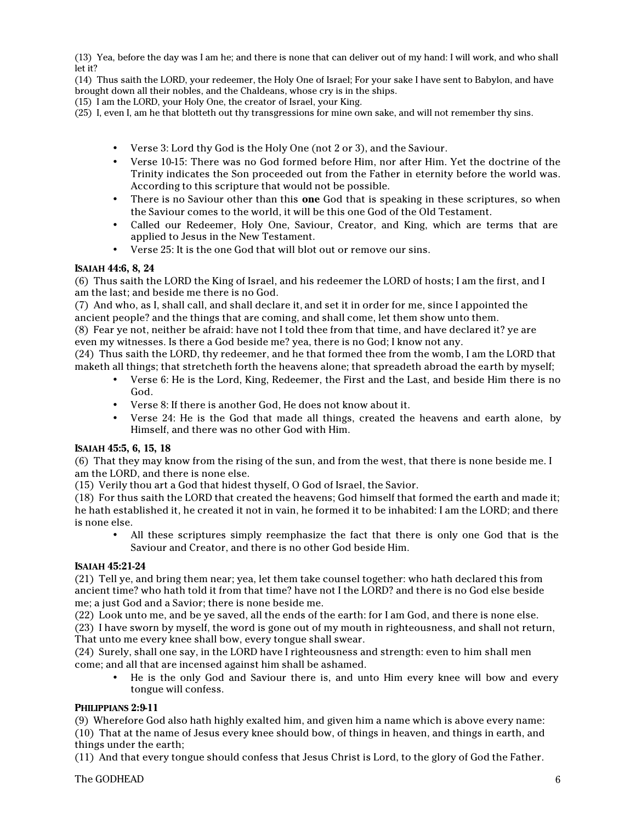(13) Yea, before the day was I am he; and there is none that can deliver out of my hand: I will work, and who shall let it?

(14) Thus saith the LORD, your redeemer, the Holy One of Israel; For your sake I have sent to Babylon, and have brought down all their nobles, and the Chaldeans, whose cry is in the ships.

(15) I am the LORD, your Holy One, the creator of Israel, your King.

- (25) I, even I, am he that blotteth out thy transgressions for mine own sake, and will not remember thy sins.
	- Verse 3: Lord thy God is the Holy One (not 2 or 3), and the Saviour.
	- Verse 10-15: There was no God formed before Him, nor after Him. Yet the doctrine of the Trinity indicates the Son proceeded out from the Father in eternity before the world was. According to this scripture that would not be possible.
	- There is no Saviour other than this **one** God that is speaking in these scriptures, so when the Saviour comes to the world, it will be this one God of the Old Testament.
	- Called our Redeemer, Holy One, Saviour, Creator, and King, which are terms that are applied to Jesus in the New Testament.
	- Verse 25: It is the one God that will blot out or remove our sins.

#### **ISAIAH 44:6, 8, 24**

(6) Thus saith the LORD the King of Israel, and his redeemer the LORD of hosts; I am the first, and I am the last; and beside me there is no God.

(7) And who, as I, shall call, and shall declare it, and set it in order for me, since I appointed the ancient people? and the things that are coming, and shall come, let them show unto them.

(8) Fear ye not, neither be afraid: have not I told thee from that time, and have declared it? ye are even my witnesses. Is there a God beside me? yea, there is no God; I know not any.

(24) Thus saith the LORD, thy redeemer, and he that formed thee from the womb, I am the LORD that maketh all things; that stretcheth forth the heavens alone; that spreadeth abroad the earth by myself;

- Verse 6: He is the Lord, King, Redeemer, the First and the Last, and beside Him there is no God.
- Verse 8: If there is another God, He does not know about it.
- Verse 24: He is the God that made all things, created the heavens and earth alone, by Himself, and there was no other God with Him.

#### **ISAIAH 45:5, 6, 15, 18**

(6) That they may know from the rising of the sun, and from the west, that there is none beside me. I am the LORD, and there is none else.

(15) Verily thou art a God that hidest thyself, O God of Israel, the Savior.

(18) For thus saith the LORD that created the heavens; God himself that formed the earth and made it; he hath established it, he created it not in vain, he formed it to be inhabited: I am the LORD; and there is none else.

• All these scriptures simply reemphasize the fact that there is only one God that is the Saviour and Creator, and there is no other God beside Him.

#### **ISAIAH 45:21-24**

(21) Tell ye, and bring them near; yea, let them take counsel together: who hath declared this from ancient time? who hath told it from that time? have not I the LORD? and there is no God else beside me; a just God and a Savior; there is none beside me.

(22) Look unto me, and be ye saved, all the ends of the earth: for I am God, and there is none else.

(23) I have sworn by myself, the word is gone out of my mouth in righteousness, and shall not return, That unto me every knee shall bow, every tongue shall swear.

(24) Surely, shall one say, in the LORD have I righteousness and strength: even to him shall men come; and all that are incensed against him shall be ashamed.

• He is the only God and Saviour there is, and unto Him every knee will bow and every tongue will confess.

#### **PHILIPPIANS 2:9-11**

(9) Wherefore God also hath highly exalted him, and given him a name which is above every name: (10) That at the name of Jesus every knee should bow, of things in heaven, and things in earth, and things under the earth;

(11) And that every tongue should confess that Jesus Christ is Lord, to the glory of God the Father.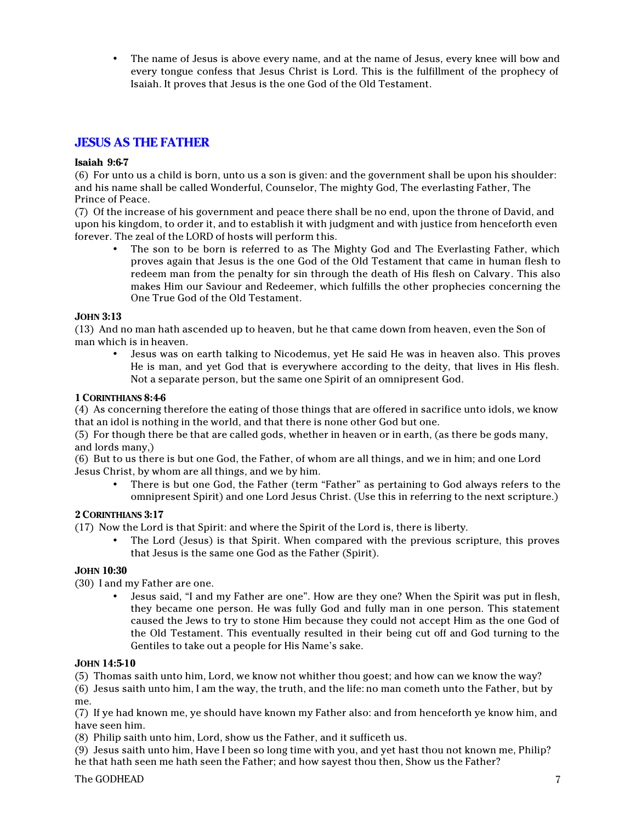• The name of Jesus is above every name, and at the name of Jesus, every knee will bow and every tongue confess that Jesus Christ is Lord. This is the fulfillment of the prophecy of Isaiah. It proves that Jesus is the one God of the Old Testament.

# **JESUS AS THE FATHER**

#### **Isaiah 9:6-7**

(6) For unto us a child is born, unto us a son is given: and the government shall be upon his shoulder: and his name shall be called Wonderful, Counselor, The mighty God, The everlasting Father, The Prince of Peace.

(7) Of the increase of his government and peace there shall be no end, upon the throne of David, and upon his kingdom, to order it, and to establish it with judgment and with justice from henceforth even forever. The zeal of the LORD of hosts will perform this.

The son to be born is referred to as The Mighty God and The Everlasting Father, which proves again that Jesus is the one God of the Old Testament that came in human flesh to redeem man from the penalty for sin through the death of His flesh on Calvary. This also makes Him our Saviour and Redeemer, which fulfills the other prophecies concerning the One True God of the Old Testament.

#### **JOHN 3:13**

(13) And no man hath ascended up to heaven, but he that came down from heaven, even the Son of man which is in heaven.

• Jesus was on earth talking to Nicodemus, yet He said He was in heaven also. This proves He is man, and yet God that is everywhere according to the deity, that lives in His flesh. Not a separate person, but the same one Spirit of an omnipresent God.

#### **1 CORINTHIANS 8:4-6**

(4) As concerning therefore the eating of those things that are offered in sacrifice unto idols, we know that an idol is nothing in the world, and that there is none other God but one.

(5) For though there be that are called gods, whether in heaven or in earth, (as there be gods many, and lords many,)

(6) But to us there is but one God, the Father, of whom are all things, and we in him; and one Lord Jesus Christ, by whom are all things, and we by him.

• There is but one God, the Father (term "Father" as pertaining to God always refers to the omnipresent Spirit) and one Lord Jesus Christ. (Use this in referring to the next scripture.)

# **2 CORINTHIANS 3:17**

(17) Now the Lord is that Spirit: and where the Spirit of the Lord is, there is liberty.

• The Lord (Jesus) is that Spirit. When compared with the previous scripture, this proves that Jesus is the same one God as the Father (Spirit).

#### **JOHN 10:30**

(30) I and my Father are one.

• Jesus said, "I and my Father are one". How are they one? When the Spirit was put in flesh, they became one person. He was fully God and fully man in one person. This statement caused the Jews to try to stone Him because they could not accept Him as the one God of the Old Testament. This eventually resulted in their being cut off and God turning to the Gentiles to take out a people for His Name's sake.

#### **JOHN 14:5-10**

(5) Thomas saith unto him, Lord, we know not whither thou goest; and how can we know the way?

(6) Jesus saith unto him, I am the way, the truth, and the life: no man cometh unto the Father, but by me.

(7) If ye had known me, ye should have known my Father also: and from henceforth ye know him, and have seen him.

(8) Philip saith unto him, Lord, show us the Father, and it sufficeth us.

(9) Jesus saith unto him, Have I been so long time with you, and yet hast thou not known me, Philip? he that hath seen me hath seen the Father; and how sayest thou then, Show us the Father?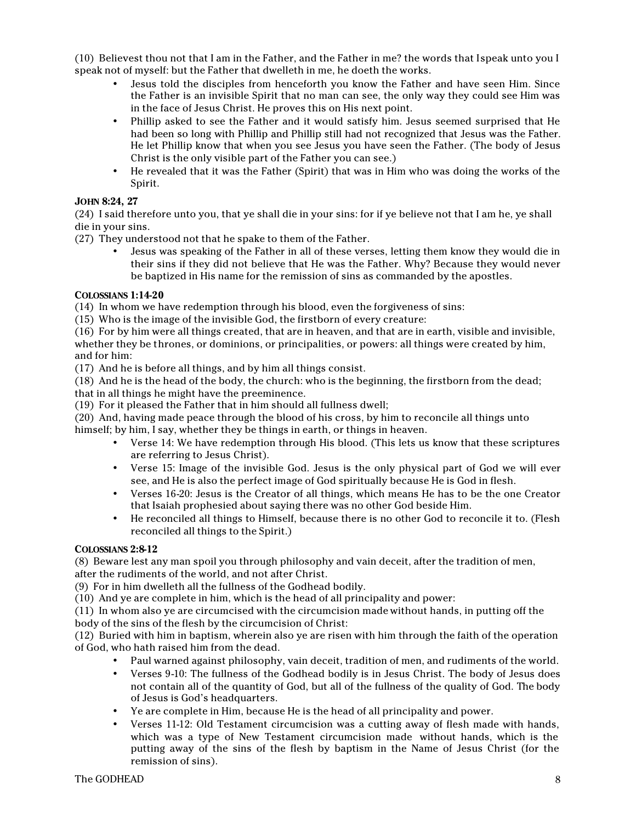(10) Believest thou not that I am in the Father, and the Father in me? the words that I speak unto you I speak not of myself: but the Father that dwelleth in me, he doeth the works.

- Jesus told the disciples from henceforth you know the Father and have seen Him. Since the Father is an invisible Spirit that no man can see, the only way they could see Him was in the face of Jesus Christ. He proves this on His next point.
- Phillip asked to see the Father and it would satisfy him. Jesus seemed surprised that He had been so long with Phillip and Phillip still had not recognized that Jesus was the Father. He let Phillip know that when you see Jesus you have seen the Father. (The body of Jesus Christ is the only visible part of the Father you can see.)
- He revealed that it was the Father (Spirit) that was in Him who was doing the works of the Spirit.

# **JOHN 8:24, 27**

(24) I said therefore unto you, that ye shall die in your sins: for if ye believe not that I am he, ye shall die in your sins.

(27) They understood not that he spake to them of the Father.

• Jesus was speaking of the Father in all of these verses, letting them know they would die in their sins if they did not believe that He was the Father. Why? Because they would never be baptized in His name for the remission of sins as commanded by the apostles.

#### **COLOSSIANS 1:14-20**

(14) In whom we have redemption through his blood, even the forgiveness of sins:

(15) Who is the image of the invisible God, the firstborn of every creature:

(16) For by him were all things created, that are in heaven, and that are in earth, visible and invisible, whether they be thrones, or dominions, or principalities, or powers: all things were created by him, and for him:

(17) And he is before all things, and by him all things consist.

(18) And he is the head of the body, the church: who is the beginning, the firstborn from the dead; that in all things he might have the preeminence.

(19) For it pleased the Father that in him should all fullness dwell;

(20) And, having made peace through the blood of his cross, by him to reconcile all things unto himself; by him, I say, whether they be things in earth, or things in heaven.

- Verse 14: We have redemption through His blood. (This lets us know that these scriptures are referring to Jesus Christ).
- Verse 15: Image of the invisible God. Jesus is the only physical part of God we will ever see, and He is also the perfect image of God spiritually because He is God in flesh.
- Verses 16-20: Jesus is the Creator of all things, which means He has to be the one Creator that Isaiah prophesied about saying there was no other God beside Him.
- He reconciled all things to Himself, because there is no other God to reconcile it to. (Flesh reconciled all things to the Spirit.)

#### **COLOSSIANS 2:8-12**

(8) Beware lest any man spoil you through philosophy and vain deceit, after the tradition of men, after the rudiments of the world, and not after Christ.

(9) For in him dwelleth all the fullness of the Godhead bodily.

(10) And ye are complete in him, which is the head of all principality and power:

(11) In whom also ye are circumcised with the circumcision made without hands, in putting off the body of the sins of the flesh by the circumcision of Christ:

(12) Buried with him in baptism, wherein also ye are risen with him through the faith of the operation of God, who hath raised him from the dead.

- Paul warned against philosophy, vain deceit, tradition of men, and rudiments of the world.
- Verses 9-10: The fullness of the Godhead bodily is in Jesus Christ. The body of Jesus does not contain all of the quantity of God, but all of the fullness of the quality of God. The body of Jesus is God's headquarters.
- Ye are complete in Him, because He is the head of all principality and power.
- Verses 11-12: Old Testament circumcision was a cutting away of flesh made with hands, which was a type of New Testament circumcision made without hands, which is the putting away of the sins of the flesh by baptism in the Name of Jesus Christ (for the remission of sins).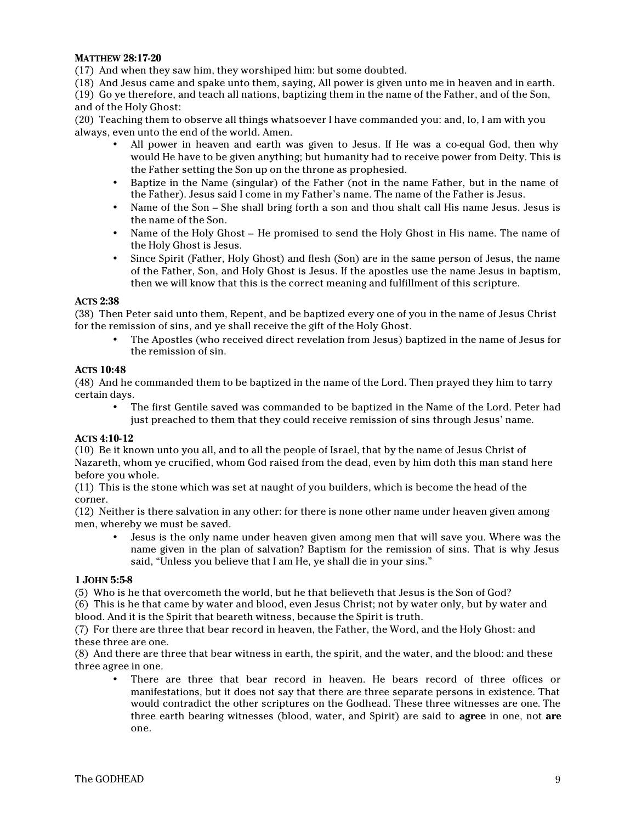#### **MATTHEW 28:17-20**

(17) And when they saw him, they worshiped him: but some doubted.

(18) And Jesus came and spake unto them, saying, All power is given unto me in heaven and in earth.

(19) Go ye therefore, and teach all nations, baptizing them in the name of the Father, and of the Son, and of the Holy Ghost:

(20) Teaching them to observe all things whatsoever I have commanded you: and, lo, I am with you always, even unto the end of the world. Amen.

- All power in heaven and earth was given to Jesus. If He was a co-equal God, then why would He have to be given anything; but humanity had to receive power from Deity. This is the Father setting the Son up on the throne as prophesied.
- Baptize in the Name (singular) of the Father (not in the name Father, but in the name of the Father). Jesus said I come in my Father's name. The name of the Father is Jesus.
- Name of the Son She shall bring forth a son and thou shalt call His name Jesus. Jesus is the name of the Son.
- Name of the Holy Ghost He promised to send the Holy Ghost in His name. The name of the Holy Ghost is Jesus.
- Since Spirit (Father, Holy Ghost) and flesh (Son) are in the same person of Jesus, the name of the Father, Son, and Holy Ghost is Jesus. If the apostles use the name Jesus in baptism, then we will know that this is the correct meaning and fulfillment of this scripture.

#### **ACTS 2:38**

(38) Then Peter said unto them, Repent, and be baptized every one of you in the name of Jesus Christ for the remission of sins, and ye shall receive the gift of the Holy Ghost.

• The Apostles (who received direct revelation from Jesus) baptized in the name of Jesus for the remission of sin.

#### **ACTS 10:48**

(48) And he commanded them to be baptized in the name of the Lord. Then prayed they him to tarry certain days.

• The first Gentile saved was commanded to be baptized in the Name of the Lord. Peter had just preached to them that they could receive remission of sins through Jesus' name.

#### **ACTS 4:10-12**

(10) Be it known unto you all, and to all the people of Israel, that by the name of Jesus Christ of Nazareth, whom ye crucified, whom God raised from the dead, even by him doth this man stand here before you whole.

(11) This is the stone which was set at naught of you builders, which is become the head of the corner.

(12) Neither is there salvation in any other: for there is none other name under heaven given among men, whereby we must be saved.

• Jesus is the only name under heaven given among men that will save you. Where was the name given in the plan of salvation? Baptism for the remission of sins. That is why Jesus said, "Unless you believe that I am He, ye shall die in your sins."

#### **1 JOHN 5:5-8**

(5) Who is he that overcometh the world, but he that believeth that Jesus is the Son of God?

(6) This is he that came by water and blood, even Jesus Christ; not by water only, but by water and blood. And it is the Spirit that beareth witness, because the Spirit is truth.

(7) For there are three that bear record in heaven, the Father, the Word, and the Holy Ghost: and these three are one.

(8) And there are three that bear witness in earth, the spirit, and the water, and the blood: and these three agree in one.

There are three that bear record in heaven. He bears record of three offices or manifestations, but it does not say that there are three separate persons in existence. That would contradict the other scriptures on the Godhead. These three witnesses are one. The three earth bearing witnesses (blood, water, and Spirit) are said to **agree** in one, not **are** one.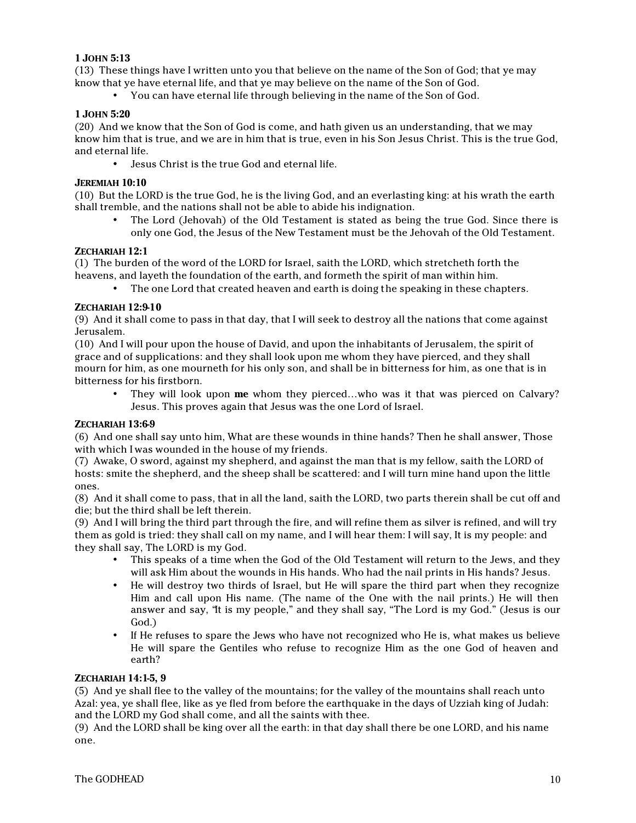#### **1 JOHN 5:13**

(13) These things have I written unto you that believe on the name of the Son of God; that ye may know that ye have eternal life, and that ye may believe on the name of the Son of God.

• You can have eternal life through believing in the name of the Son of God.

#### **1 JOHN 5:20**

(20) And we know that the Son of God is come, and hath given us an understanding, that we may know him that is true, and we are in him that is true, even in his Son Jesus Christ. This is the true God, and eternal life.

• Jesus Christ is the true God and eternal life.

#### **JEREMIAH 10:10**

(10) But the LORD is the true God, he is the living God, and an everlasting king: at his wrath the earth shall tremble, and the nations shall not be able to abide his indignation.

• The Lord (Jehovah) of the Old Testament is stated as being the true God. Since there is only one God, the Jesus of the New Testament must be the Jehovah of the Old Testament.

#### **ZECHARIAH 12:1**

(1) The burden of the word of the LORD for Israel, saith the LORD, which stretcheth forth the heavens, and layeth the foundation of the earth, and formeth the spirit of man within him.

• The one Lord that created heaven and earth is doing the speaking in these chapters.

#### **ZECHARIAH 12:9-10**

(9) And it shall come to pass in that day, that I will seek to destroy all the nations that come against Jerusalem.

(10) And I will pour upon the house of David, and upon the inhabitants of Jerusalem, the spirit of grace and of supplications: and they shall look upon me whom they have pierced, and they shall mourn for him, as one mourneth for his only son, and shall be in bitterness for him, as one that is in bitterness for his firstborn.

• They will look upon **me** whom they pierced…who was it that was pierced on Calvary? Jesus. This proves again that Jesus was the one Lord of Israel.

#### **ZECHARIAH 13:6-9**

(6) And one shall say unto him, What are these wounds in thine hands? Then he shall answer, Those with which I was wounded in the house of my friends.

(7) Awake, O sword, against my shepherd, and against the man that is my fellow, saith the LORD of hosts: smite the shepherd, and the sheep shall be scattered: and I will turn mine hand upon the little ones.

(8) And it shall come to pass, that in all the land, saith the LORD, two parts therein shall be cut off and die; but the third shall be left therein.

(9) And I will bring the third part through the fire, and will refine them as silver is refined, and will try them as gold is tried: they shall call on my name, and I will hear them: I will say, It is my people: and they shall say, The LORD is my God.

- This speaks of a time when the God of the Old Testament will return to the Jews, and they will ask Him about the wounds in His hands. Who had the nail prints in His hands? Jesus.
- He will destroy two thirds of Israel, but He will spare the third part when they recognize Him and call upon His name. (The name of the One with the nail prints.) He will then answer and say, "It is my people," and they shall say, "The Lord is my God." (Jesus is our God.)
- If He refuses to spare the Jews who have not recognized who He is, what makes us believe He will spare the Gentiles who refuse to recognize Him as the one God of heaven and earth?

### **ZECHARIAH 14:1-5, 9**

(5) And ye shall flee to the valley of the mountains; for the valley of the mountains shall reach unto Azal: yea, ye shall flee, like as ye fled from before the earthquake in the days of Uzziah king of Judah: and the LORD my God shall come, and all the saints with thee.

(9) And the LORD shall be king over all the earth: in that day shall there be one LORD, and his name one.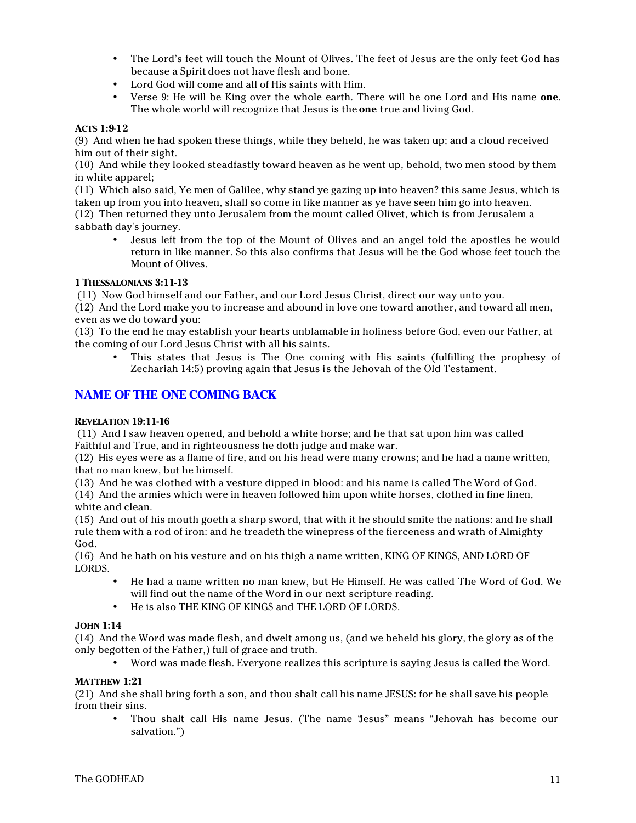- The Lord's feet will touch the Mount of Olives. The feet of Jesus are the only feet God has because a Spirit does not have flesh and bone.
- Lord God will come and all of His saints with Him.
- Verse 9: He will be King over the whole earth. There will be one Lord and His name **one**. The whole world will recognize that Jesus is the **one** true and living God.

# **ACTS 1:9-12**

(9) And when he had spoken these things, while they beheld, he was taken up; and a cloud received him out of their sight.

(10) And while they looked steadfastly toward heaven as he went up, behold, two men stood by them in white apparel;

(11) Which also said, Ye men of Galilee, why stand ye gazing up into heaven? this same Jesus, which is taken up from you into heaven, shall so come in like manner as ye have seen him go into heaven.

(12) Then returned they unto Jerusalem from the mount called Olivet, which is from Jerusalem a sabbath day's journey.

• Jesus left from the top of the Mount of Olives and an angel told the apostles he would return in like manner. So this also confirms that Jesus will be the God whose feet touch the Mount of Olives.

# **1 THESSALONIANS 3:11-13**

(11) Now God himself and our Father, and our Lord Jesus Christ, direct our way unto you.

(12) And the Lord make you to increase and abound in love one toward another, and toward all men, even as we do toward you:

(13) To the end he may establish your hearts unblamable in holiness before God, even our Father, at the coming of our Lord Jesus Christ with all his saints.

• This states that Jesus is The One coming with His saints (fulfilling the prophesy of Zechariah 14:5) proving again that Jesus is the Jehovah of the Old Testament.

# **NAME OF THE ONE COMING BACK**

#### **REVELATION 19:11-16**

 (11) And I saw heaven opened, and behold a white horse; and he that sat upon him was called Faithful and True, and in righteousness he doth judge and make war.

(12) His eyes were as a flame of fire, and on his head were many crowns; and he had a name written, that no man knew, but he himself.

(13) And he was clothed with a vesture dipped in blood: and his name is called The Word of God.

(14) And the armies which were in heaven followed him upon white horses, clothed in fine linen, white and clean.

(15) And out of his mouth goeth a sharp sword, that with it he should smite the nations: and he shall rule them with a rod of iron: and he treadeth the winepress of the fierceness and wrath of Almighty God.

(16) And he hath on his vesture and on his thigh a name written, KING OF KINGS, AND LORD OF LORDS.

- He had a name written no man knew, but He Himself. He was called The Word of God. We will find out the name of the Word in our next scripture reading.
- He is also THE KING OF KINGS and THE LORD OF LORDS.

# **JOHN 1:14**

(14) And the Word was made flesh, and dwelt among us, (and we beheld his glory, the glory as of the only begotten of the Father,) full of grace and truth.

• Word was made flesh. Everyone realizes this scripture is saying Jesus is called the Word.

# **MATTHEW 1:21**

(21) And she shall bring forth a son, and thou shalt call his name JESUS: for he shall save his people from their sins.

• Thou shalt call His name Jesus. (The name "Jesus" means "Jehovah has become our salvation.")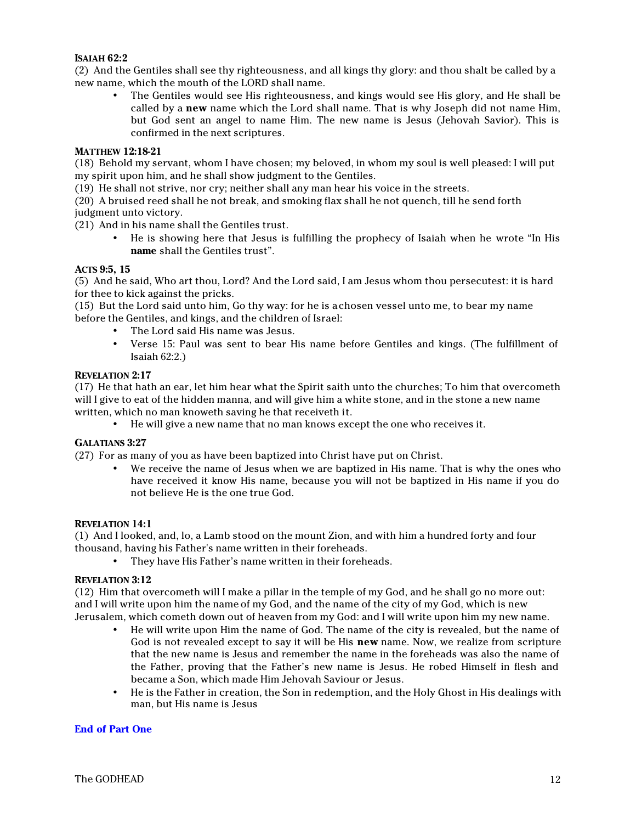#### **ISAIAH 62:2**

(2) And the Gentiles shall see thy righteousness, and all kings thy glory: and thou shalt be called by a new name, which the mouth of the LORD shall name.

• The Gentiles would see His righteousness, and kings would see His glory, and He shall be called by a **new** name which the Lord shall name. That is why Joseph did not name Him, but God sent an angel to name Him. The new name is Jesus (Jehovah Savior). This is confirmed in the next scriptures.

#### **MATTHEW 12:18-21**

(18) Behold my servant, whom I have chosen; my beloved, in whom my soul is well pleased: I will put my spirit upon him, and he shall show judgment to the Gentiles.

(19) He shall not strive, nor cry; neither shall any man hear his voice in the streets.

(20) A bruised reed shall he not break, and smoking flax shall he not quench, till he send forth judgment unto victory.

(21) And in his name shall the Gentiles trust.

• He is showing here that Jesus is fulfilling the prophecy of Isaiah when he wrote "In His **name** shall the Gentiles trust".

#### **ACTS 9:5, 15**

(5) And he said, Who art thou, Lord? And the Lord said, I am Jesus whom thou persecutest: it is hard for thee to kick against the pricks.

(15) But the Lord said unto him, Go thy way: for he is a chosen vessel unto me, to bear my name before the Gentiles, and kings, and the children of Israel:

- The Lord said His name was Jesus.
- Verse 15: Paul was sent to bear His name before Gentiles and kings. (The fulfillment of Isaiah 62:2.)

#### **REVELATION 2:17**

(17) He that hath an ear, let him hear what the Spirit saith unto the churches; To him that overcometh will I give to eat of the hidden manna, and will give him a white stone, and in the stone a new name written, which no man knoweth saving he that receiveth it.

• He will give a new name that no man knows except the one who receives it.

# **GALATIANS 3:27**

(27) For as many of you as have been baptized into Christ have put on Christ.

• We receive the name of Jesus when we are baptized in His name. That is why the ones who have received it know His name, because you will not be baptized in His name if you do not believe He is the one true God.

#### **REVELATION 14:1**

(1) And I looked, and, lo, a Lamb stood on the mount Zion, and with him a hundred forty and four thousand, having his Father's name written in their foreheads.

• They have His Father's name written in their foreheads.

#### **REVELATION 3:12**

(12) Him that overcometh will I make a pillar in the temple of my God, and he shall go no more out: and I will write upon him the name of my God, and the name of the city of my God, which is new Jerusalem, which cometh down out of heaven from my God: and I will write upon him my new name.

- He will write upon Him the name of God. The name of the city is revealed, but the name of God is not revealed except to say it will be His **new** name. Now, we realize from scripture that the new name is Jesus and remember the name in the foreheads was also the name of the Father, proving that the Father's new name is Jesus. He robed Himself in flesh and became a Son, which made Him Jehovah Saviour or Jesus.
- He is the Father in creation, the Son in redemption, and the Holy Ghost in His dealings with man, but His name is Jesus

#### **End of Part One**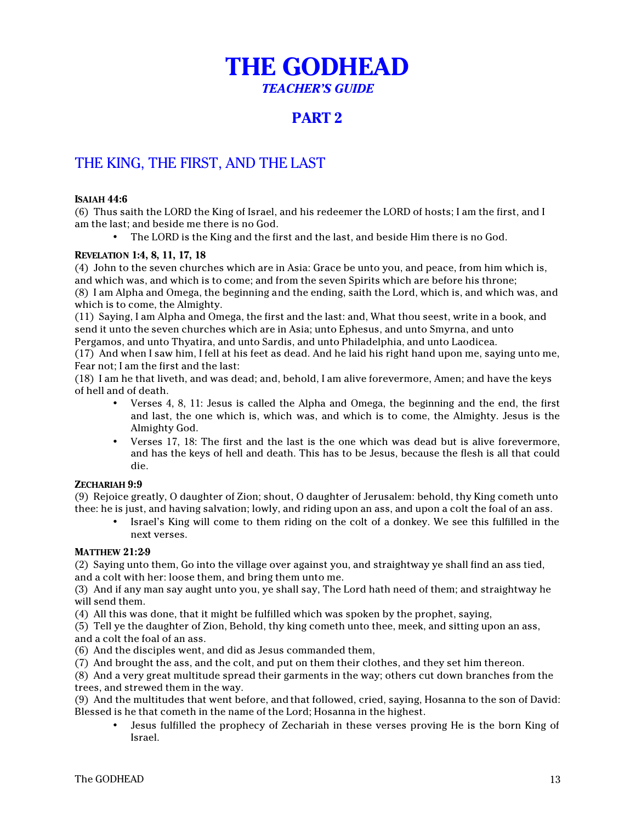# **THE GODHEAD** *TEACHER'S GUIDE*

# **PART 2**

# THE KING, THE FIRST, AND THE LAST

# **ISAIAH 44:6**

(6) Thus saith the LORD the King of Israel, and his redeemer the LORD of hosts; I am the first, and I am the last; and beside me there is no God.

• The LORD is the King and the first and the last, and beside Him there is no God.

# **REVELATION 1:4, 8, 11, 17, 18**

(4) John to the seven churches which are in Asia: Grace be unto you, and peace, from him which is, and which was, and which is to come; and from the seven Spirits which are before his throne; (8) I am Alpha and Omega, the beginning and the ending, saith the Lord, which is, and which was, and which is to come, the Almighty.

(11) Saying, I am Alpha and Omega, the first and the last: and, What thou seest, write in a book, and send it unto the seven churches which are in Asia; unto Ephesus, and unto Smyrna, and unto Pergamos, and unto Thyatira, and unto Sardis, and unto Philadelphia, and unto Laodicea.

(17) And when I saw him, I fell at his feet as dead. And he laid his right hand upon me, saying unto me, Fear not; I am the first and the last:

(18) I am he that liveth, and was dead; and, behold, I am alive forevermore, Amen; and have the keys of hell and of death.

- Verses 4, 8, 11: Jesus is called the Alpha and Omega, the beginning and the end, the first and last, the one which is, which was, and which is to come, the Almighty. Jesus is the Almighty God.
- Verses 17, 18: The first and the last is the one which was dead but is alive forevermore, and has the keys of hell and death. This has to be Jesus, because the flesh is all that could die.

# **ZECHARIAH 9:9**

(9) Rejoice greatly, O daughter of Zion; shout, O daughter of Jerusalem: behold, thy King cometh unto thee: he is just, and having salvation; lowly, and riding upon an ass, and upon a colt the foal of an ass.

• Israel's King will come to them riding on the colt of a donkey. We see this fulfilled in the next verses.

#### **MATTHEW 21:2-9**

(2) Saying unto them, Go into the village over against you, and straightway ye shall find an ass tied, and a colt with her: loose them, and bring them unto me.

(3) And if any man say aught unto you, ye shall say, The Lord hath need of them; and straightway he will send them.

(4) All this was done, that it might be fulfilled which was spoken by the prophet, saying,

(5) Tell ye the daughter of Zion, Behold, thy king cometh unto thee, meek, and sitting upon an ass, and a colt the foal of an ass.

(6) And the disciples went, and did as Jesus commanded them,

(7) And brought the ass, and the colt, and put on them their clothes, and they set him thereon.

(8) And a very great multitude spread their garments in the way; others cut down branches from the trees, and strewed them in the way.

(9) And the multitudes that went before, and that followed, cried, saying, Hosanna to the son of David: Blessed is he that cometh in the name of the Lord; Hosanna in the highest.

• Jesus fulfilled the prophecy of Zechariah in these verses proving He is the born King of Israel.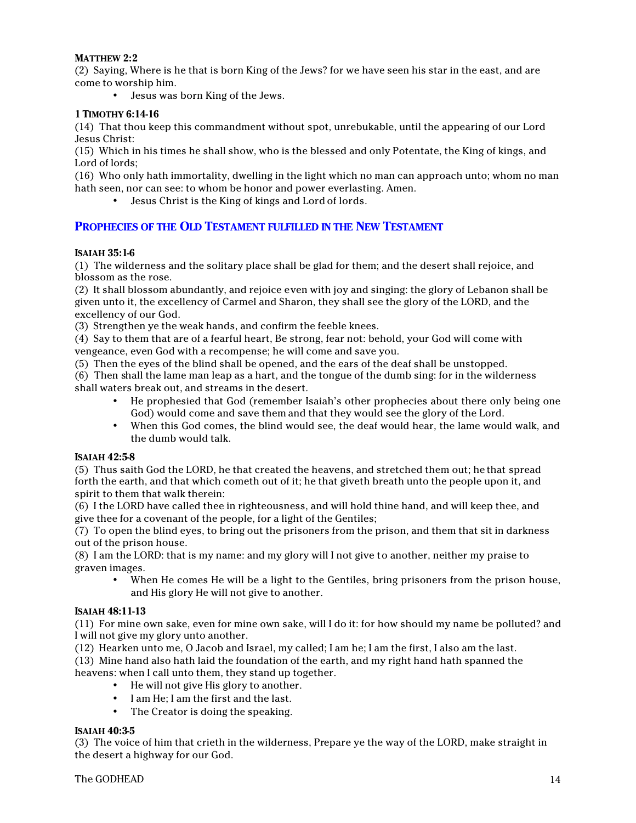# **MATTHEW 2:2**

(2) Saying, Where is he that is born King of the Jews? for we have seen his star in the east, and are come to worship him.

• Jesus was born King of the Jews.

#### **1 TIMOTHY 6:14-16**

(14) That thou keep this commandment without spot, unrebukable, until the appearing of our Lord Jesus Christ:

(15) Which in his times he shall show, who is the blessed and only Potentate, the King of kings, and Lord of lords;

(16) Who only hath immortality, dwelling in the light which no man can approach unto; whom no man hath seen, nor can see: to whom be honor and power everlasting. Amen.

• Jesus Christ is the King of kings and Lord of lords.

#### **PROPHECIES OF THE OLD TESTAMENT FULFILLED IN THE NEW TESTAMENT**

#### **ISAIAH 35:1-6**

(1) The wilderness and the solitary place shall be glad for them; and the desert shall rejoice, and blossom as the rose.

(2) It shall blossom abundantly, and rejoice even with joy and singing: the glory of Lebanon shall be given unto it, the excellency of Carmel and Sharon, they shall see the glory of the LORD, and the excellency of our God.

(3) Strengthen ye the weak hands, and confirm the feeble knees.

(4) Say to them that are of a fearful heart, Be strong, fear not: behold, your God will come with vengeance, even God with a recompense; he will come and save you.

(5) Then the eyes of the blind shall be opened, and the ears of the deaf shall be unstopped.

(6) Then shall the lame man leap as a hart, and the tongue of the dumb sing: for in the wilderness shall waters break out, and streams in the desert.

- He prophesied that God (remember Isaiah's other prophecies about there only being one God) would come and save them and that they would see the glory of the Lord.
- When this God comes, the blind would see, the deaf would hear, the lame would walk, and the dumb would talk.

#### **ISAIAH 42:5-8**

(5) Thus saith God the LORD, he that created the heavens, and stretched them out; he that spread forth the earth, and that which cometh out of it; he that giveth breath unto the people upon it, and spirit to them that walk therein:

(6) I the LORD have called thee in righteousness, and will hold thine hand, and will keep thee, and give thee for a covenant of the people, for a light of the Gentiles;

(7) To open the blind eyes, to bring out the prisoners from the prison, and them that sit in darkness out of the prison house.

(8) I am the LORD: that is my name: and my glory will I not give to another, neither my praise to graven images.

• When He comes He will be a light to the Gentiles, bring prisoners from the prison house, and His glory He will not give to another.

#### **ISAIAH 48:11-13**

(11) For mine own sake, even for mine own sake, will I do it: for how should my name be polluted? and I will not give my glory unto another.

(12) Hearken unto me, O Jacob and Israel, my called; I am he; I am the first, I also am the last.

(13) Mine hand also hath laid the foundation of the earth, and my right hand hath spanned the heavens: when I call unto them, they stand up together.

- He will not give His glory to another.
- I am He; I am the first and the last.
- The Creator is doing the speaking.

#### **ISAIAH 40:3-5**

(3) The voice of him that crieth in the wilderness, Prepare ye the way of the LORD, make straight in the desert a highway for our God.

#### The GODHEAD 14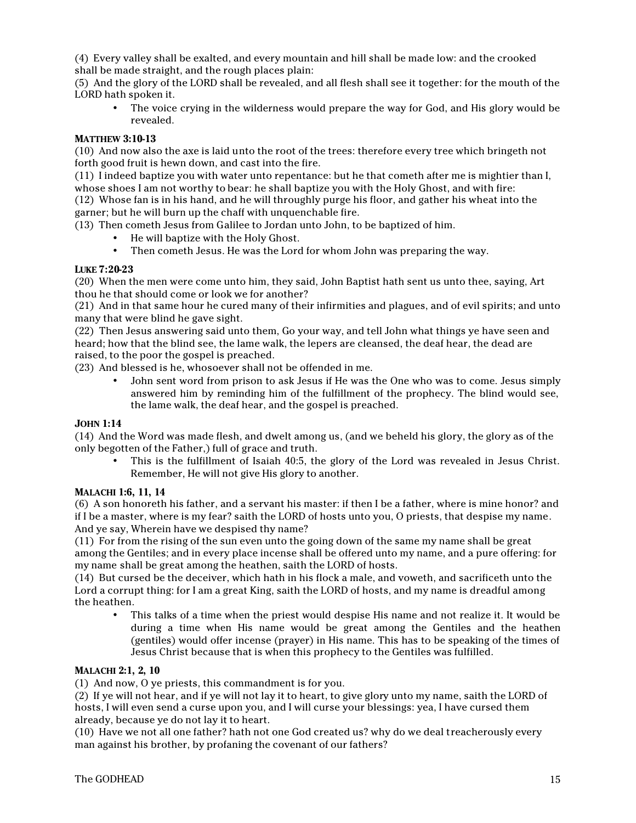(4) Every valley shall be exalted, and every mountain and hill shall be made low: and the crooked shall be made straight, and the rough places plain:

(5) And the glory of the LORD shall be revealed, and all flesh shall see it together: for the mouth of the LORD hath spoken it.

The voice crying in the wilderness would prepare the way for God, and His glory would be revealed.

#### **MATTHEW 3:10-13**

(10) And now also the axe is laid unto the root of the trees: therefore every tree which bringeth not forth good fruit is hewn down, and cast into the fire.

(11) I indeed baptize you with water unto repentance: but he that cometh after me is mightier than I, whose shoes I am not worthy to bear: he shall baptize you with the Holy Ghost, and with fire: (12) Whose fan is in his hand, and he will throughly purge his floor, and gather his wheat into the garner; but he will burn up the chaff with unquenchable fire.

(13) Then cometh Jesus from Galilee to Jordan unto John, to be baptized of him.

- He will baptize with the Holy Ghost.
- Then cometh Jesus. He was the Lord for whom John was preparing the way.

#### **LUKE 7:20-23**

(20) When the men were come unto him, they said, John Baptist hath sent us unto thee, saying, Art thou he that should come or look we for another?

(21) And in that same hour he cured many of their infirmities and plagues, and of evil spirits; and unto many that were blind he gave sight.

(22) Then Jesus answering said unto them, Go your way, and tell John what things ye have seen and heard; how that the blind see, the lame walk, the lepers are cleansed, the deaf hear, the dead are raised, to the poor the gospel is preached.

(23) And blessed is he, whosoever shall not be offended in me.

• John sent word from prison to ask Jesus if He was the One who was to come. Jesus simply answered him by reminding him of the fulfillment of the prophecy. The blind would see, the lame walk, the deaf hear, and the gospel is preached.

#### **JOHN 1:14**

(14) And the Word was made flesh, and dwelt among us, (and we beheld his glory, the glory as of the only begotten of the Father,) full of grace and truth.

• This is the fulfillment of Isaiah 40:5, the glory of the Lord was revealed in Jesus Christ. Remember, He will not give His glory to another.

#### **MALACHI 1:6, 11, 14**

(6) A son honoreth his father, and a servant his master: if then I be a father, where is mine honor? and if I be a master, where is my fear? saith the LORD of hosts unto you, O priests, that despise my name. And ye say, Wherein have we despised thy name?

(11) For from the rising of the sun even unto the going down of the same my name shall be great among the Gentiles; and in every place incense shall be offered unto my name, and a pure offering: for my name shall be great among the heathen, saith the LORD of hosts.

(14) But cursed be the deceiver, which hath in his flock a male, and voweth, and sacrificeth unto the Lord a corrupt thing: for I am a great King, saith the LORD of hosts, and my name is dreadful among the heathen.

• This talks of a time when the priest would despise His name and not realize it. It would be during a time when His name would be great among the Gentiles and the heathen (gentiles) would offer incense (prayer) in His name. This has to be speaking of the times of Jesus Christ because that is when this prophecy to the Gentiles was fulfilled.

#### **MALACHI 2:1, 2, 10**

(1) And now, O ye priests, this commandment is for you.

(2) If ye will not hear, and if ye will not lay it to heart, to give glory unto my name, saith the LORD of hosts, I will even send a curse upon you, and I will curse your blessings: yea, I have cursed them already, because ye do not lay it to heart.

(10) Have we not all one father? hath not one God created us? why do we deal treacherously every man against his brother, by profaning the covenant of our fathers?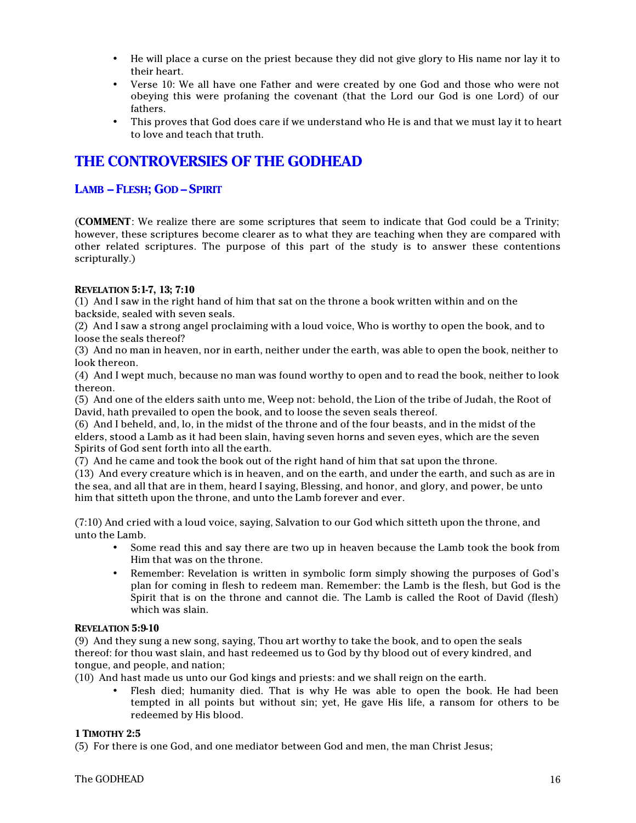- He will place a curse on the priest because they did not give glory to His name nor lay it to their heart.
- Verse 10: We all have one Father and were created by one God and those who were not obeying this were profaning the covenant (that the Lord our God is one Lord) of our fathers.
- This proves that God does care if we understand who He is and that we must lay it to heart to love and teach that truth.

# **THE CONTROVERSIES OF THE GODHEAD**

# **LAMB – FLESH; GOD – SPIRIT**

(**COMMENT**: We realize there are some scriptures that seem to indicate that God could be a Trinity; however, these scriptures become clearer as to what they are teaching when they are compared with other related scriptures. The purpose of this part of the study is to answer these contentions scripturally.)

#### **REVELATION 5:1-7, 13; 7:10**

(1) And I saw in the right hand of him that sat on the throne a book written within and on the backside, sealed with seven seals.

(2) And I saw a strong angel proclaiming with a loud voice, Who is worthy to open the book, and to loose the seals thereof?

(3) And no man in heaven, nor in earth, neither under the earth, was able to open the book, neither to look thereon.

(4) And I wept much, because no man was found worthy to open and to read the book, neither to look thereon.

(5) And one of the elders saith unto me, Weep not: behold, the Lion of the tribe of Judah, the Root of David, hath prevailed to open the book, and to loose the seven seals thereof.

(6) And I beheld, and, lo, in the midst of the throne and of the four beasts, and in the midst of the elders, stood a Lamb as it had been slain, having seven horns and seven eyes, which are the seven Spirits of God sent forth into all the earth.

(7) And he came and took the book out of the right hand of him that sat upon the throne.

(13) And every creature which is in heaven, and on the earth, and under the earth, and such as are in the sea, and all that are in them, heard I saying, Blessing, and honor, and glory, and power, be unto him that sitteth upon the throne, and unto the Lamb forever and ever.

(7:10) And cried with a loud voice, saying, Salvation to our God which sitteth upon the throne, and unto the Lamb.

- Some read this and say there are two up in heaven because the Lamb took the book from Him that was on the throne.
- Remember: Revelation is written in symbolic form simply showing the purposes of God's plan for coming in flesh to redeem man. Remember: the Lamb is the flesh, but God is the Spirit that is on the throne and cannot die. The Lamb is called the Root of David (flesh) which was slain.

#### **REVELATION 5:9-10**

(9) And they sung a new song, saying, Thou art worthy to take the book, and to open the seals thereof: for thou wast slain, and hast redeemed us to God by thy blood out of every kindred, and tongue, and people, and nation;

(10) And hast made us unto our God kings and priests: and we shall reign on the earth.

• Flesh died; humanity died. That is why He was able to open the book. He had been tempted in all points but without sin; yet, He gave His life, a ransom for others to be redeemed by His blood.

#### **1 TIMOTHY 2:5**

(5) For there is one God, and one mediator between God and men, the man Christ Jesus;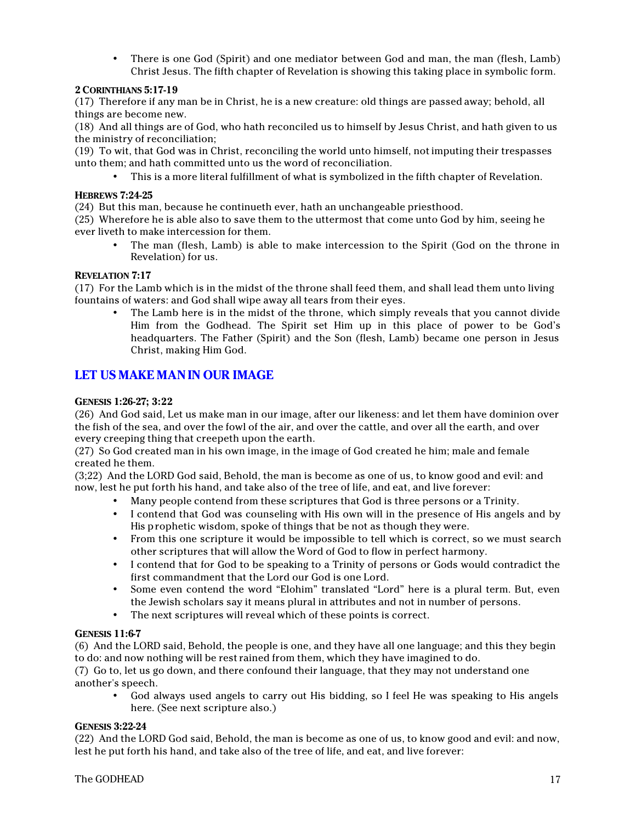• There is one God (Spirit) and one mediator between God and man, the man (flesh, Lamb) Christ Jesus. The fifth chapter of Revelation is showing this taking place in symbolic form.

#### **2 CORINTHIANS 5:17-19**

(17) Therefore if any man be in Christ, he is a new creature: old things are passed away; behold, all things are become new.

(18) And all things are of God, who hath reconciled us to himself by Jesus Christ, and hath given to us the ministry of reconciliation;

(19) To wit, that God was in Christ, reconciling the world unto himself, not imputing their trespasses unto them; and hath committed unto us the word of reconciliation.

• This is a more literal fulfillment of what is symbolized in the fifth chapter of Revelation.

#### **HEBREWS 7:24-25**

(24) But this man, because he continueth ever, hath an unchangeable priesthood.

(25) Wherefore he is able also to save them to the uttermost that come unto God by him, seeing he ever liveth to make intercession for them.

• The man (flesh, Lamb) is able to make intercession to the Spirit (God on the throne in Revelation) for us.

#### **REVELATION 7:17**

(17) For the Lamb which is in the midst of the throne shall feed them, and shall lead them unto living fountains of waters: and God shall wipe away all tears from their eyes.

• The Lamb here is in the midst of the throne, which simply reveals that you cannot divide Him from the Godhead. The Spirit set Him up in this place of power to be God's headquarters. The Father (Spirit) and the Son (flesh, Lamb) became one person in Jesus Christ, making Him God.

# **LET US MAKE MAN IN OUR IMAGE**

#### **GENESIS 1:26-27; 3:22**

(26) And God said, Let us make man in our image, after our likeness: and let them have dominion over the fish of the sea, and over the fowl of the air, and over the cattle, and over all the earth, and over every creeping thing that creepeth upon the earth.

(27) So God created man in his own image, in the image of God created he him; male and female created he them.

(3;22) And the LORD God said, Behold, the man is become as one of us, to know good and evil: and now, lest he put forth his hand, and take also of the tree of life, and eat, and live forever:

- Many people contend from these scriptures that God is three persons or a Trinity.
- I contend that God was counseling with His own will in the presence of His angels and by His prophetic wisdom, spoke of things that be not as though they were.
- From this one scripture it would be impossible to tell which is correct, so we must search other scriptures that will allow the Word of God to flow in perfect harmony.
- I contend that for God to be speaking to a Trinity of persons or Gods would contradict the first commandment that the Lord our God is one Lord.
- Some even contend the word "Elohim" translated "Lord" here is a plural term. But, even the Jewish scholars say it means plural in attributes and not in number of persons.
- The next scriptures will reveal which of these points is correct.

#### **GENESIS 11:6-7**

(6) And the LORD said, Behold, the people is one, and they have all one language; and this they begin to do: and now nothing will be rest rained from them, which they have imagined to do.

(7) Go to, let us go down, and there confound their language, that they may not understand one another's speech.

• God always used angels to carry out His bidding, so I feel He was speaking to His angels here. (See next scripture also.)

#### **GENESIS 3:22-24**

(22) And the LORD God said, Behold, the man is become as one of us, to know good and evil: and now, lest he put forth his hand, and take also of the tree of life, and eat, and live forever: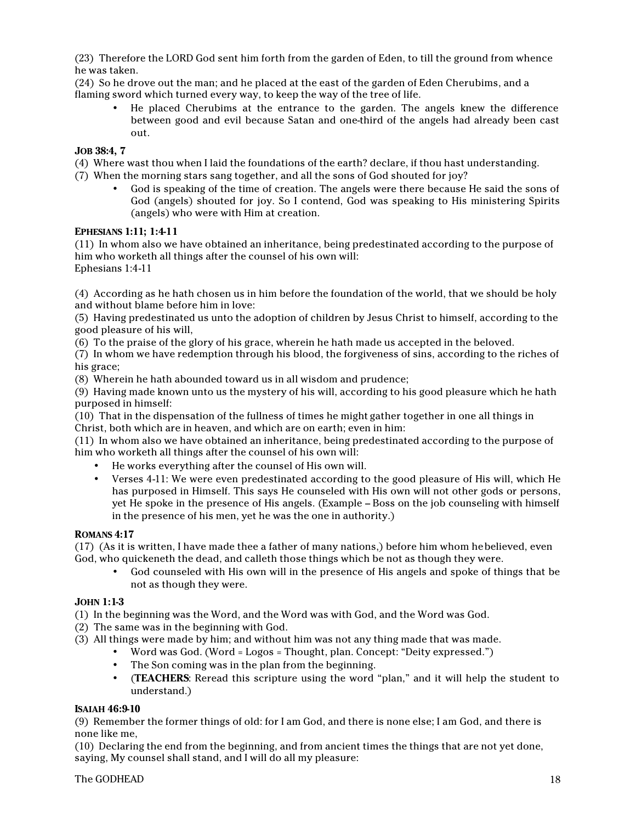(23) Therefore the LORD God sent him forth from the garden of Eden, to till the ground from whence he was taken.

(24) So he drove out the man; and he placed at the east of the garden of Eden Cherubims, and a flaming sword which turned every way, to keep the way of the tree of life.

• He placed Cherubims at the entrance to the garden. The angels knew the difference between good and evil because Satan and one-third of the angels had already been cast out.

### **JOB 38:4, 7**

(4) Where wast thou when I laid the foundations of the earth? declare, if thou hast understanding.

- (7) When the morning stars sang together, and all the sons of God shouted for joy?
	- God is speaking of the time of creation. The angels were there because He said the sons of God (angels) shouted for joy. So I contend, God was speaking to His ministering Spirits (angels) who were with Him at creation.

#### **EPHESIANS 1:11; 1:4-11**

(11) In whom also we have obtained an inheritance, being predestinated according to the purpose of him who worketh all things after the counsel of his own will: Ephesians 1:4-11

(4) According as he hath chosen us in him before the foundation of the world, that we should be holy and without blame before him in love:

(5) Having predestinated us unto the adoption of children by Jesus Christ to himself, according to the good pleasure of his will,

(6) To the praise of the glory of his grace, wherein he hath made us accepted in the beloved.

(7) In whom we have redemption through his blood, the forgiveness of sins, according to the riches of his grace;

(8) Wherein he hath abounded toward us in all wisdom and prudence;

(9) Having made known unto us the mystery of his will, according to his good pleasure which he hath purposed in himself:

(10) That in the dispensation of the fullness of times he might gather together in one all things in Christ, both which are in heaven, and which are on earth; even in him:

(11) In whom also we have obtained an inheritance, being predestinated according to the purpose of him who worketh all things after the counsel of his own will:

- He works everything after the counsel of His own will.
- Verses 4-11: We were even predestinated according to the good pleasure of His will, which He has purposed in Himself. This says He counseled with His own will not other gods or persons, yet He spoke in the presence of His angels. (Example – Boss on the job counseling with himself in the presence of his men, yet he was the one in authority.)

#### **ROMANS 4:17**

(17) (As it is written, I have made thee a father of many nations,) before him whom he believed, even God, who quickeneth the dead, and calleth those things which be not as though they were.

• God counseled with His own will in the presence of His angels and spoke of things that be not as though they were.

#### **JOHN 1:1-3**

(1) In the beginning was the Word, and the Word was with God, and the Word was God.

(2) The same was in the beginning with God.

(3) All things were made by him; and without him was not any thing made that was made.

- Word was God. (Word = Logos = Thought, plan. Concept: "Deity expressed.")
- The Son coming was in the plan from the beginning.
- (**TEACHERS**: Reread this scripture using the word "plan," and it will help the student to understand.)

#### **ISAIAH 46:9-10**

(9) Remember the former things of old: for I am God, and there is none else; I am God, and there is none like me,

(10) Declaring the end from the beginning, and from ancient times the things that are not yet done, saying, My counsel shall stand, and I will do all my pleasure: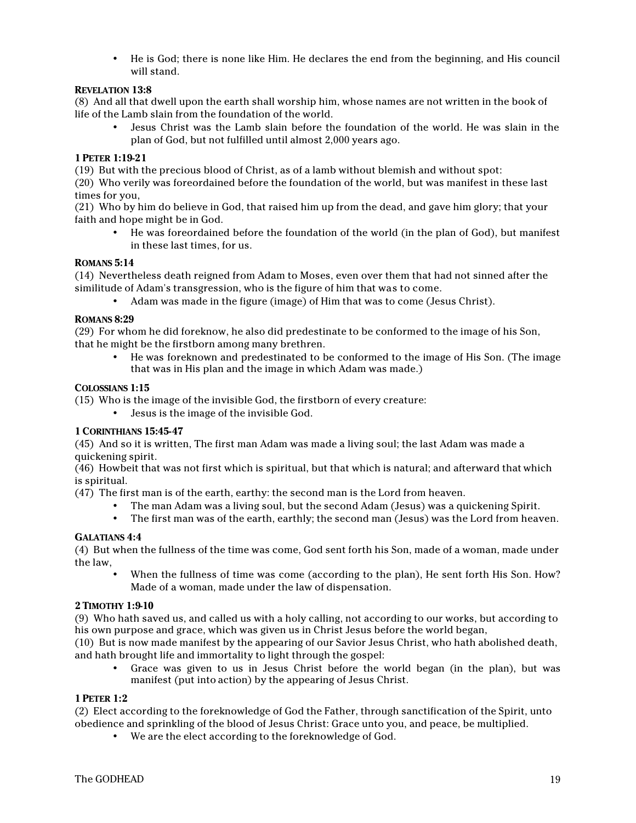• He is God; there is none like Him. He declares the end from the beginning, and His council will stand.

### **REVELATION 13:8**

(8) And all that dwell upon the earth shall worship him, whose names are not written in the book of life of the Lamb slain from the foundation of the world.

• Jesus Christ was the Lamb slain before the foundation of the world. He was slain in the plan of God, but not fulfilled until almost 2,000 years ago.

#### **1 PETER 1:19-21**

(19) But with the precious blood of Christ, as of a lamb without blemish and without spot:

(20) Who verily was foreordained before the foundation of the world, but was manifest in these last times for you,

(21) Who by him do believe in God, that raised him up from the dead, and gave him glory; that your faith and hope might be in God.

• He was foreordained before the foundation of the world (in the plan of God), but manifest in these last times, for us.

#### **ROMANS 5:14**

(14) Nevertheless death reigned from Adam to Moses, even over them that had not sinned after the similitude of Adam's transgression, who is the figure of him that was to come.

• Adam was made in the figure (image) of Him that was to come (Jesus Christ).

#### **ROMANS 8:29**

(29) For whom he did foreknow, he also did predestinate to be conformed to the image of his Son, that he might be the firstborn among many brethren.

• He was foreknown and predestinated to be conformed to the image of His Son. (The image that was in His plan and the image in which Adam was made.)

#### **COLOSSIANS 1:15**

(15) Who is the image of the invisible God, the firstborn of every creature:

• Jesus is the image of the invisible God.

# **1 CORINTHIANS 15:45-47**

(45) And so it is written, The first man Adam was made a living soul; the last Adam was made a quickening spirit.

(46) Howbeit that was not first which is spiritual, but that which is natural; and afterward that which is spiritual.

(47) The first man is of the earth, earthy: the second man is the Lord from heaven.

- The man Adam was a living soul, but the second Adam (Jesus) was a quickening Spirit.
- The first man was of the earth, earthly; the second man (Jesus) was the Lord from heaven.

#### **GALATIANS 4:4**

(4) But when the fullness of the time was come, God sent forth his Son, made of a woman, made under the law,

When the fullness of time was come (according to the plan), He sent forth His Son. How? Made of a woman, made under the law of dispensation.

#### **2 TIMOTHY 1:9-10**

(9) Who hath saved us, and called us with a holy calling, not according to our works, but according to his own purpose and grace, which was given us in Christ Jesus before the world began,

(10) But is now made manifest by the appearing of our Savior Jesus Christ, who hath abolished death, and hath brought life and immortality to light through the gospel:

• Grace was given to us in Jesus Christ before the world began (in the plan), but was manifest (put into action) by the appearing of Jesus Christ.

#### **1 PETER 1:2**

(2) Elect according to the foreknowledge of God the Father, through sanctification of the Spirit, unto obedience and sprinkling of the blood of Jesus Christ: Grace unto you, and peace, be multiplied.

• We are the elect according to the foreknowledge of God.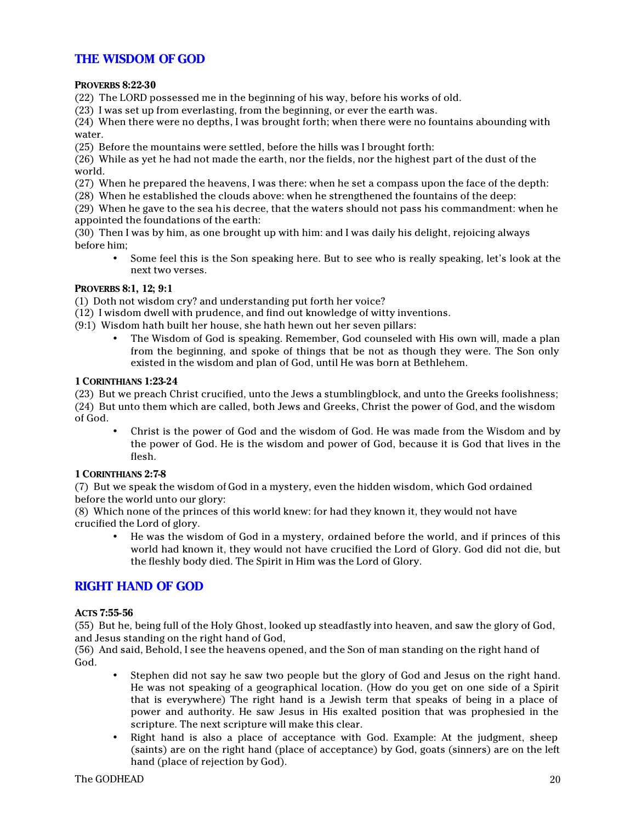# **THE WISDOM OF GOD**

#### **PROVERBS 8:22-30**

(22) The LORD possessed me in the beginning of his way, before his works of old.

(23) I was set up from everlasting, from the beginning, or ever the earth was.

(24) When there were no depths, I was brought forth; when there were no fountains abounding with water.

(25) Before the mountains were settled, before the hills was I brought forth:

(26) While as yet he had not made the earth, nor the fields, nor the highest part of the dust of the world.

(27) When he prepared the heavens, I was there: when he set a compass upon the face of the depth:

(28) When he established the clouds above: when he strengthened the fountains of the deep:

(29) When he gave to the sea his decree, that the waters should not pass his commandment: when he appointed the foundations of the earth:

(30) Then I was by him, as one brought up with him: and I was daily his delight, rejoicing always before him;

• Some feel this is the Son speaking here. But to see who is really speaking, let's look at the next two verses.

#### **PROVERBS 8:1, 12; 9:1**

(1) Doth not wisdom cry? and understanding put forth her voice?

- (12) I wisdom dwell with prudence, and find out knowledge of witty inventions.
- (9:1) Wisdom hath built her house, she hath hewn out her seven pillars:
	- The Wisdom of God is speaking. Remember, God counseled with His own will, made a plan from the beginning, and spoke of things that be not as though they were. The Son only existed in the wisdom and plan of God, until He was born at Bethlehem.

#### **1 CORINTHIANS 1:23-24**

(23) But we preach Christ crucified, unto the Jews a stumblingblock, and unto the Greeks foolishness; (24) But unto them which are called, both Jews and Greeks, Christ the power of God, and the wisdom of God.

• Christ is the power of God and the wisdom of God. He was made from the Wisdom and by the power of God. He is the wisdom and power of God, because it is God that lives in the flesh.

#### **1 CORINTHIANS 2:7-8**

(7) But we speak the wisdom of God in a mystery, even the hidden wisdom, which God ordained before the world unto our glory:

(8) Which none of the princes of this world knew: for had they known it, they would not have crucified the Lord of glory.

• He was the wisdom of God in a mystery, ordained before the world, and if princes of this world had known it, they would not have crucified the Lord of Glory. God did not die, but the fleshly body died. The Spirit in Him was the Lord of Glory.

# **RIGHT HAND OF GOD**

#### **ACTS 7:55-56**

(55) But he, being full of the Holy Ghost, looked up steadfastly into heaven, and saw the glory of God, and Jesus standing on the right hand of God,

(56) And said, Behold, I see the heavens opened, and the Son of man standing on the right hand of God.

- Stephen did not say he saw two people but the glory of God and Jesus on the right hand. He was not speaking of a geographical location. (How do you get on one side of a Spirit that is everywhere) The right hand is a Jewish term that speaks of being in a place of power and authority. He saw Jesus in His exalted position that was prophesied in the scripture. The next scripture will make this clear.
- Right hand is also a place of acceptance with God. Example: At the judgment, sheep (saints) are on the right hand (place of acceptance) by God, goats (sinners) are on the left hand (place of rejection by God).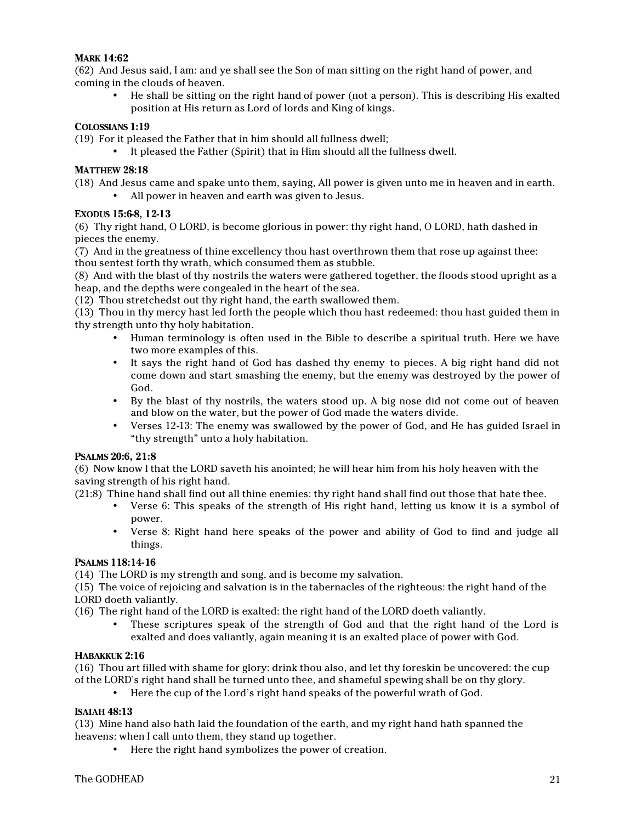### **MARK 14:62**

(62) And Jesus said, I am: and ye shall see the Son of man sitting on the right hand of power, and coming in the clouds of heaven.

• He shall be sitting on the right hand of power (not a person). This is describing His exalted position at His return as Lord of lords and King of kings.

#### **COLOSSIANS 1:19**

(19) For it pleased the Father that in him should all fullness dwell;

• It pleased the Father (Spirit) that in Him should all the fullness dwell.

#### **MATTHEW 28:18**

(18) And Jesus came and spake unto them, saying, All power is given unto me in heaven and in earth.

• All power in heaven and earth was given to Jesus.

#### **EXODUS 15:6-8, 12-13**

(6) Thy right hand, O LORD, is become glorious in power: thy right hand, O LORD, hath dashed in pieces the enemy.

(7) And in the greatness of thine excellency thou hast overthrown them that rose up against thee: thou sentest forth thy wrath, which consumed them as stubble.

(8) And with the blast of thy nostrils the waters were gathered together, the floods stood upright as a heap, and the depths were congealed in the heart of the sea.

(12) Thou stretchedst out thy right hand, the earth swallowed them.

(13) Thou in thy mercy hast led forth the people which thou hast redeemed: thou hast guided them in thy strength unto thy holy habitation.

- Human terminology is often used in the Bible to describe a spiritual truth. Here we have two more examples of this.
- It says the right hand of God has dashed thy enemy to pieces. A big right hand did not come down and start smashing the enemy, but the enemy was destroyed by the power of God.
- By the blast of thy nostrils, the waters stood up. A big nose did not come out of heaven and blow on the water, but the power of God made the waters divide.
- Verses 12-13: The enemy was swallowed by the power of God, and He has guided Israel in "thy strength" unto a holy habitation.

#### **PSALMS 20:6, 21:8**

(6) Now know I that the LORD saveth his anointed; he will hear him from his holy heaven with the saving strength of his right hand.

(21:8) Thine hand shall find out all thine enemies: thy right hand shall find out those that hate thee.

- Verse 6: This speaks of the strength of His right hand, letting us know it is a symbol of power.
- Verse 8: Right hand here speaks of the power and ability of God to find and judge all things.

# **PSALMS 118:14-16**

(14) The LORD is my strength and song, and is become my salvation.

(15) The voice of rejoicing and salvation is in the tabernacles of the righteous: the right hand of the LORD doeth valiantly.

(16) The right hand of the LORD is exalted: the right hand of the LORD doeth valiantly.

• These scriptures speak of the strength of God and that the right hand of the Lord is exalted and does valiantly, again meaning it is an exalted place of power with God.

#### **HABAKKUK 2:16**

(16) Thou art filled with shame for glory: drink thou also, and let thy foreskin be uncovered: the cup of the LORD's right hand shall be turned unto thee, and shameful spewing shall be on thy glory.

• Here the cup of the Lord's right hand speaks of the powerful wrath of God.

# **ISAIAH 48:13**

(13) Mine hand also hath laid the foundation of the earth, and my right hand hath spanned the heavens: when I call unto them, they stand up together.

• Here the right hand symbolizes the power of creation.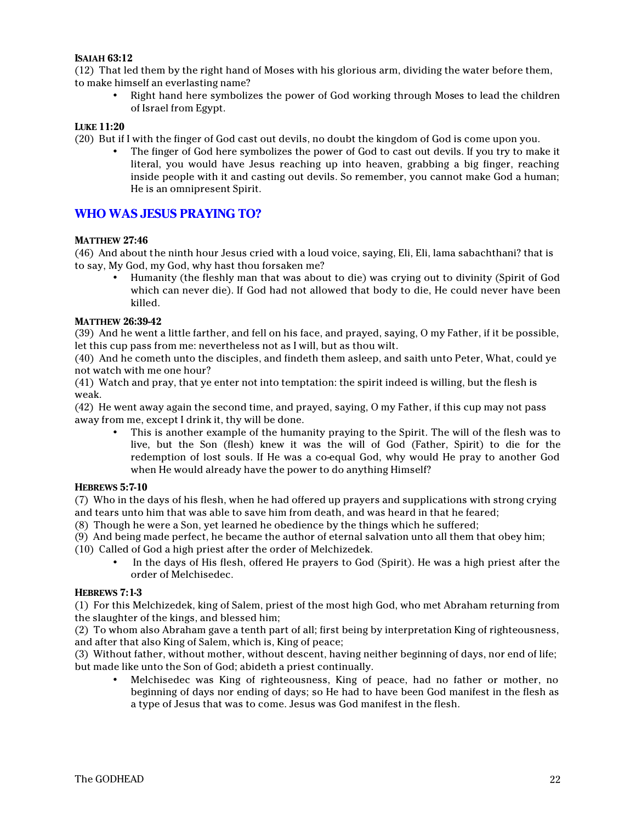#### **ISAIAH 63:12**

(12) That led them by the right hand of Moses with his glorious arm, dividing the water before them, to make himself an everlasting name?

• Right hand here symbolizes the power of God working through Moses to lead the children of Israel from Egypt.

#### **LUKE 11:20**

(20) But if I with the finger of God cast out devils, no doubt the kingdom of God is come upon you.

• The finger of God here symbolizes the power of God to cast out devils. If you try to make it literal, you would have Jesus reaching up into heaven, grabbing a big finger, reaching inside people with it and casting out devils. So remember, you cannot make God a human; He is an omnipresent Spirit.

# **WHO WAS JESUS PRAYING TO?**

#### **MATTHEW 27:46**

(46) And about the ninth hour Jesus cried with a loud voice, saying, Eli, Eli, lama sabachthani? that is to say, My God, my God, why hast thou forsaken me?

• Humanity (the fleshly man that was about to die) was crying out to divinity (Spirit of God which can never die). If God had not allowed that body to die, He could never have been killed.

#### **MATTHEW 26:39-42**

(39) And he went a little farther, and fell on his face, and prayed, saying, O my Father, if it be possible, let this cup pass from me: nevertheless not as I will, but as thou wilt.

(40) And he cometh unto the disciples, and findeth them asleep, and saith unto Peter, What, could ye not watch with me one hour?

(41) Watch and pray, that ye enter not into temptation: the spirit indeed is willing, but the flesh is weak.

(42) He went away again the second time, and prayed, saying, O my Father, if this cup may not pass away from me, except I drink it, thy will be done.

• This is another example of the humanity praying to the Spirit. The will of the flesh was to live, but the Son (flesh) knew it was the will of God (Father, Spirit) to die for the redemption of lost souls. If He was a co-equal God, why would He pray to another God when He would already have the power to do anything Himself?

#### **HEBREWS 5:7-10**

(7) Who in the days of his flesh, when he had offered up prayers and supplications with strong crying and tears unto him that was able to save him from death, and was heard in that he feared;

(8) Though he were a Son, yet learned he obedience by the things which he suffered;

(9) And being made perfect, he became the author of eternal salvation unto all them that obey him;

(10) Called of God a high priest after the order of Melchizedek.

• In the days of His flesh, offered He prayers to God (Spirit). He was a high priest after the order of Melchisedec.

#### **HEBREWS 7:1-3**

(1) For this Melchizedek, king of Salem, priest of the most high God, who met Abraham returning from the slaughter of the kings, and blessed him;

(2) To whom also Abraham gave a tenth part of all; first being by interpretation King of righteousness, and after that also King of Salem, which is, King of peace;

(3) Without father, without mother, without descent, having neither beginning of days, nor end of life; but made like unto the Son of God; abideth a priest continually.

• Melchisedec was King of righteousness, King of peace, had no father or mother, no beginning of days nor ending of days; so He had to have been God manifest in the flesh as a type of Jesus that was to come. Jesus was God manifest in the flesh.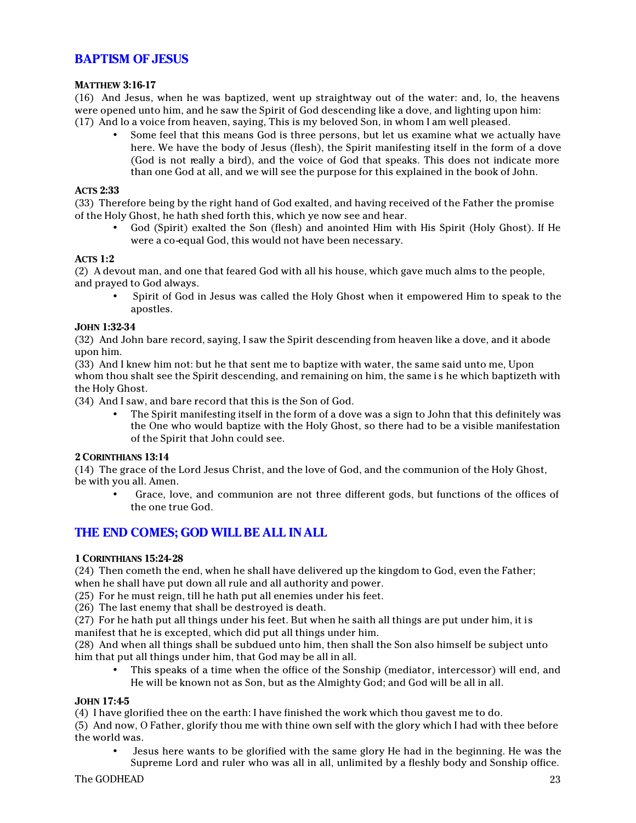# **BAPTISM OF JESUS**

#### **MATTHEW 3:16-17**

(16) And Jesus, when he was baptized, went up straightway out of the water: and, lo, the heavens were opened unto him, and he saw the Spirit of God descending like a dove, and lighting upon him: (17) And lo a voice from heaven, saying, This is my beloved Son, in whom I am well pleased.

• Some feel that this means God is three persons, but let us examine what we actually have here. We have the body of Jesus (flesh), the Spirit manifesting itself in the form of a dove (God is not really a bird), and the voice of God that speaks. This does not indicate more than one God at all, and we will see the purpose for this explained in the book of John.

#### **ACTS 2:33**

(33) Therefore being by the right hand of God exalted, and having received of the Father the promise of the Holy Ghost, he hath shed forth this, which ye now see and hear.

• God (Spirit) exalted the Son (flesh) and anointed Him with His Spirit (Holy Ghost). If He were a co-equal God, this would not have been necessary.

#### **ACTS 1:2**

(2) A devout man, and one that feared God with all his house, which gave much alms to the people, and prayed to God always.

• Spirit of God in Jesus was called the Holy Ghost when it empowered Him to speak to the apostles.

#### **JOHN 1:32-34**

(32) And John bare record, saying, I saw the Spirit descending from heaven like a dove, and it abode upon him.

(33) And I knew him not: but he that sent me to baptize with water, the same said unto me, Upon whom thou shalt see the Spirit descending, and remaining on him, the same is he which baptizeth with the Holy Ghost.

(34) And I saw, and bare record that this is the Son of God.

• The Spirit manifesting itself in the form of a dove was a sign to John that this definitely was the One who would baptize with the Holy Ghost, so there had to be a visible manifestation of the Spirit that John could see.

#### **2 CORINTHIANS 13:14**

(14) The grace of the Lord Jesus Christ, and the love of God, and the communion of the Holy Ghost, be with you all. Amen.

• Grace, love, and communion are not three different gods, but functions of the offices of the one true God.

# **THE END COMES; GOD WILL BE ALL IN ALL**

#### **1 CORINTHIANS 15:24-28**

(24) Then cometh the end, when he shall have delivered up the kingdom to God, even the Father; when he shall have put down all rule and all authority and power.

(25) For he must reign, till he hath put all enemies under his feet.

(26) The last enemy that shall be destroyed is death.

(27) For he hath put all things under his feet. But when he saith all things are put under him, it is manifest that he is excepted, which did put all things under him.

(28) And when all things shall be subdued unto him, then shall the Son also himself be subject unto him that put all things under him, that God may be all in all.

• This speaks of a time when the office of the Sonship (mediator, intercessor) will end, and He will be known not as Son, but as the Almighty God; and God will be all in all.

#### **JOHN 17:4-5**

(4) I have glorified thee on the earth: I have finished the work which thou gavest me to do.

(5) And now, O Father, glorify thou me with thine own self with the glory which I had with thee before the world was.

• Jesus here wants to be glorified with the same glory He had in the beginning. He was the Supreme Lord and ruler who was all in all, unlimited by a fleshly body and Sonship office.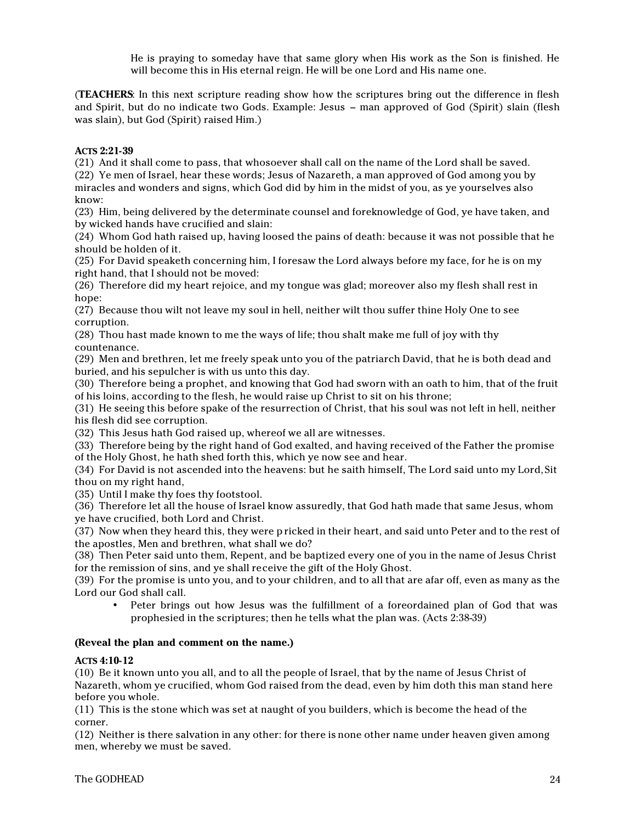He is praying to someday have that same glory when His work as the Son is finished. He will become this in His eternal reign. He will be one Lord and His name one.

(**TEACHERS**: In this next scripture reading show how the scriptures bring out the difference in flesh and Spirit, but do no indicate two Gods. Example: Jesus – man approved of God (Spirit) slain (flesh was slain), but God (Spirit) raised Him.)

#### **ACTS 2:21-39**

(21) And it shall come to pass, that whosoever shall call on the name of the Lord shall be saved. (22) Ye men of Israel, hear these words; Jesus of Nazareth, a man approved of God among you by miracles and wonders and signs, which God did by him in the midst of you, as ye yourselves also know:

(23) Him, being delivered by the determinate counsel and foreknowledge of God, ye have taken, and by wicked hands have crucified and slain:

(24) Whom God hath raised up, having loosed the pains of death: because it was not possible that he should be holden of it.

(25) For David speaketh concerning him, I foresaw the Lord always before my face, for he is on my right hand, that I should not be moved:

(26) Therefore did my heart rejoice, and my tongue was glad; moreover also my flesh shall rest in hope:

(27) Because thou wilt not leave my soul in hell, neither wilt thou suffer thine Holy One to see corruption.

(28) Thou hast made known to me the ways of life; thou shalt make me full of joy with thy countenance.

(29) Men and brethren, let me freely speak unto you of the patriarch David, that he is both dead and buried, and his sepulcher is with us unto this day.

(30) Therefore being a prophet, and knowing that God had sworn with an oath to him, that of the fruit of his loins, according to the flesh, he would raise up Christ to sit on his throne;

(31) He seeing this before spake of the resurrection of Christ, that his soul was not left in hell, neither his flesh did see corruption.

(32) This Jesus hath God raised up, whereof we all are witnesses.

(33) Therefore being by the right hand of God exalted, and having received of the Father the promise of the Holy Ghost, he hath shed forth this, which ye now see and hear.

(34) For David is not ascended into the heavens: but he saith himself, The Lord said unto my Lord, Sit thou on my right hand,

(35) Until I make thy foes thy footstool.

(36) Therefore let all the house of Israel know assuredly, that God hath made that same Jesus, whom ye have crucified, both Lord and Christ.

(37) Now when they heard this, they were p ricked in their heart, and said unto Peter and to the rest of the apostles, Men and brethren, what shall we do?

(38) Then Peter said unto them, Repent, and be baptized every one of you in the name of Jesus Christ for the remission of sins, and ye shall receive the gift of the Holy Ghost.

(39) For the promise is unto you, and to your children, and to all that are afar off, even as many as the Lord our God shall call.

• Peter brings out how Jesus was the fulfillment of a foreordained plan of God that was prophesied in the scriptures; then he tells what the plan was. (Acts 2:38-39)

#### **(Reveal the plan and comment on the name.)**

#### **ACTS 4:10-12**

(10) Be it known unto you all, and to all the people of Israel, that by the name of Jesus Christ of Nazareth, whom ye crucified, whom God raised from the dead, even by him doth this man stand here before you whole.

(11) This is the stone which was set at naught of you builders, which is become the head of the corner.

(12) Neither is there salvation in any other: for there is none other name under heaven given among men, whereby we must be saved.